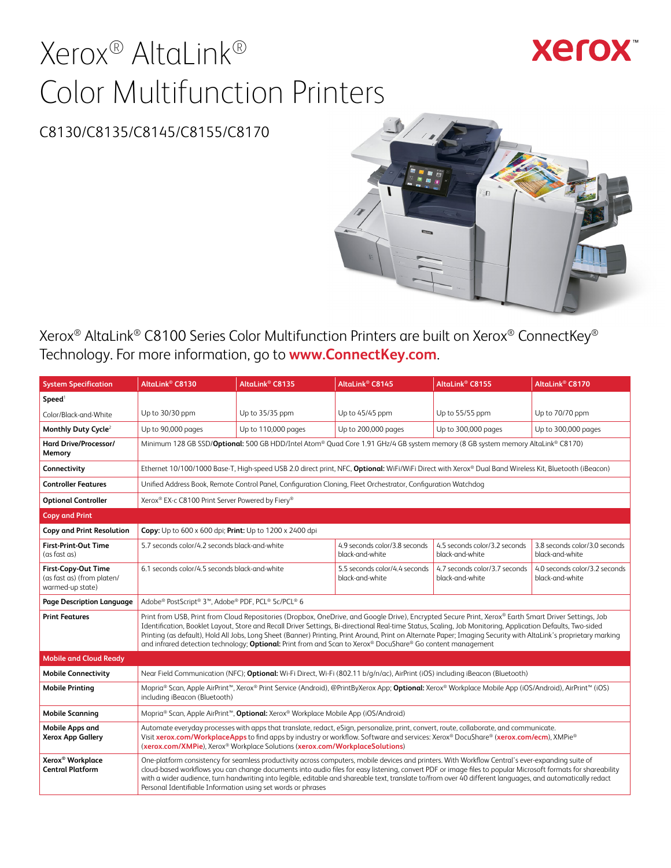# Xerox® AltaLink® Color Multifunction Printers

# **Xerox**

## C8130/C8135/C8145/C8155/C8170



Xerox® AltaLink® C8100 Series Color Multifunction Printers are built on Xerox® ConnectKey® Technology. For more information, go to **[www.ConnectKey.com](http://www.ConnectKey.com)**.

| <b>System Specification</b>                                                  | AltaLink <sup>®</sup> C8130                                                                                                                                                                                                                                                                                                                                    | AltaLink <sup>®</sup> C8135                                                                                                                                                                                                                                                                                                                                                                                                                                                                                                                     | AltaLink <sup>®</sup> C8145                                                                                                                                                                                                                                                                                                                                                                                                                                                                                                                                                                            | AltaLink <sup>®</sup> C8155                      | AltaLink <sup>®</sup> C8170                      |  |
|------------------------------------------------------------------------------|----------------------------------------------------------------------------------------------------------------------------------------------------------------------------------------------------------------------------------------------------------------------------------------------------------------------------------------------------------------|-------------------------------------------------------------------------------------------------------------------------------------------------------------------------------------------------------------------------------------------------------------------------------------------------------------------------------------------------------------------------------------------------------------------------------------------------------------------------------------------------------------------------------------------------|--------------------------------------------------------------------------------------------------------------------------------------------------------------------------------------------------------------------------------------------------------------------------------------------------------------------------------------------------------------------------------------------------------------------------------------------------------------------------------------------------------------------------------------------------------------------------------------------------------|--------------------------------------------------|--------------------------------------------------|--|
| Speed <sup>1</sup>                                                           |                                                                                                                                                                                                                                                                                                                                                                |                                                                                                                                                                                                                                                                                                                                                                                                                                                                                                                                                 |                                                                                                                                                                                                                                                                                                                                                                                                                                                                                                                                                                                                        |                                                  |                                                  |  |
| Color/Black-and-White                                                        | Up to 30/30 ppm                                                                                                                                                                                                                                                                                                                                                | Up to 35/35 ppm                                                                                                                                                                                                                                                                                                                                                                                                                                                                                                                                 | Up to 45/45 ppm                                                                                                                                                                                                                                                                                                                                                                                                                                                                                                                                                                                        | Up to 55/55 ppm                                  | Up to 70/70 ppm                                  |  |
| Monthly Duty Cycle <sup>2</sup>                                              | Up to 90,000 pages                                                                                                                                                                                                                                                                                                                                             | Up to 110,000 pages                                                                                                                                                                                                                                                                                                                                                                                                                                                                                                                             | Up to 200,000 pages                                                                                                                                                                                                                                                                                                                                                                                                                                                                                                                                                                                    | Up to 300,000 pages                              | Up to 300,000 pages                              |  |
| Hard Drive/Processor/<br>Memory                                              |                                                                                                                                                                                                                                                                                                                                                                |                                                                                                                                                                                                                                                                                                                                                                                                                                                                                                                                                 | Minimum 128 GB SSD/Optional: 500 GB HDD/Intel Atom® Quad Core 1.91 GHz/4 GB system memory (8 GB system memory AltaLink® C8170)                                                                                                                                                                                                                                                                                                                                                                                                                                                                         |                                                  |                                                  |  |
| Connectivity                                                                 |                                                                                                                                                                                                                                                                                                                                                                |                                                                                                                                                                                                                                                                                                                                                                                                                                                                                                                                                 | Ethernet 10/100/1000 Base-T, High-speed USB 2.0 direct print, NFC, Optional: WiFi/WiFi Direct with Xerox® Dual Band Wireless Kit, Bluetooth (iBeacon)                                                                                                                                                                                                                                                                                                                                                                                                                                                  |                                                  |                                                  |  |
| <b>Controller Features</b>                                                   |                                                                                                                                                                                                                                                                                                                                                                |                                                                                                                                                                                                                                                                                                                                                                                                                                                                                                                                                 | Unified Address Book, Remote Control Panel, Configuration Cloning, Fleet Orchestrator, Configuration Watchdog                                                                                                                                                                                                                                                                                                                                                                                                                                                                                          |                                                  |                                                  |  |
| <b>Optional Controller</b>                                                   | Xerox® EX-c C8100 Print Server Powered by Fiery®                                                                                                                                                                                                                                                                                                               |                                                                                                                                                                                                                                                                                                                                                                                                                                                                                                                                                 |                                                                                                                                                                                                                                                                                                                                                                                                                                                                                                                                                                                                        |                                                  |                                                  |  |
| <b>Copy and Print</b>                                                        |                                                                                                                                                                                                                                                                                                                                                                |                                                                                                                                                                                                                                                                                                                                                                                                                                                                                                                                                 |                                                                                                                                                                                                                                                                                                                                                                                                                                                                                                                                                                                                        |                                                  |                                                  |  |
| <b>Copy and Print Resolution</b>                                             | Copy: Up to 600 x 600 dpi; Print: Up to 1200 x 2400 dpi                                                                                                                                                                                                                                                                                                        |                                                                                                                                                                                                                                                                                                                                                                                                                                                                                                                                                 |                                                                                                                                                                                                                                                                                                                                                                                                                                                                                                                                                                                                        |                                                  |                                                  |  |
| First-Print-Out Time<br>(as fast as)                                         | 5.7 seconds color/4.2 seconds black-and-white                                                                                                                                                                                                                                                                                                                  |                                                                                                                                                                                                                                                                                                                                                                                                                                                                                                                                                 | 4.9 seconds color/3.8 seconds<br>black-and-white                                                                                                                                                                                                                                                                                                                                                                                                                                                                                                                                                       | 4.5 seconds color/3.2 seconds<br>black-and-white | 3.8 seconds color/3.0 seconds<br>black-and-white |  |
| <b>First-Copy-Out Time</b><br>(as fast as) (from platen/<br>warmed-up state) | 6.1 seconds color/4.5 seconds black-and-white                                                                                                                                                                                                                                                                                                                  |                                                                                                                                                                                                                                                                                                                                                                                                                                                                                                                                                 | 5.5 seconds color/4.4 seconds<br>black-and-white                                                                                                                                                                                                                                                                                                                                                                                                                                                                                                                                                       | 4.7 seconds color/3.7 seconds<br>black-and-white | 4.0 seconds color/3.2 seconds<br>black-and-white |  |
| Page Description Language                                                    | Adobe® PostScript® 3™, Adobe® PDF, PCL® 5c/PCL® 6                                                                                                                                                                                                                                                                                                              |                                                                                                                                                                                                                                                                                                                                                                                                                                                                                                                                                 |                                                                                                                                                                                                                                                                                                                                                                                                                                                                                                                                                                                                        |                                                  |                                                  |  |
| <b>Print Features</b>                                                        |                                                                                                                                                                                                                                                                                                                                                                |                                                                                                                                                                                                                                                                                                                                                                                                                                                                                                                                                 | Print from USB, Print from Cloud Repositories (Dropbox, OneDrive, and Google Drive), Encrypted Secure Print, Xerox® Earth Smart Driver Settings, Job<br>Identification, Booklet Layout, Store and Recall Driver Settings, Bi-directional Real-time Status, Scaling, Job Monitoring, Application Defaults, Two-sided<br>Printing (as default), Hold All Jobs, Long Sheet (Banner) Printing, Print Around, Print on Alternate Paper; Imaging Security with AltaLink's proprietary marking<br>and infrared detection technology; Optional: Print from and Scan to Xerox® DocuShare® Go content management |                                                  |                                                  |  |
| <b>Mobile and Cloud Ready</b>                                                |                                                                                                                                                                                                                                                                                                                                                                |                                                                                                                                                                                                                                                                                                                                                                                                                                                                                                                                                 |                                                                                                                                                                                                                                                                                                                                                                                                                                                                                                                                                                                                        |                                                  |                                                  |  |
| <b>Mobile Connectivity</b>                                                   |                                                                                                                                                                                                                                                                                                                                                                |                                                                                                                                                                                                                                                                                                                                                                                                                                                                                                                                                 | Near Field Communication (NFC); Optional: Wi-Fi Direct, Wi-Fi (802.11 b/q/n/ac), AirPrint (iOS) including iBeacon (Bluetooth)                                                                                                                                                                                                                                                                                                                                                                                                                                                                          |                                                  |                                                  |  |
| <b>Mobile Printing</b>                                                       | including iBeacon (Bluetooth)                                                                                                                                                                                                                                                                                                                                  |                                                                                                                                                                                                                                                                                                                                                                                                                                                                                                                                                 | Mopria® Scan, Apple AirPrint™, Xerox® Print Service (Android), @PrintByXerox App; Optional: Xerox® Workplace Mobile App (iOS/Android), AirPrint™ (iOS)                                                                                                                                                                                                                                                                                                                                                                                                                                                 |                                                  |                                                  |  |
| <b>Mobile Scanning</b>                                                       |                                                                                                                                                                                                                                                                                                                                                                | Mopria <sup>®</sup> Scan, Apple AirPrint <sup>™</sup> , <b>Optional:</b> Xerox® Workplace Mobile App (iOS/Android)                                                                                                                                                                                                                                                                                                                                                                                                                              |                                                                                                                                                                                                                                                                                                                                                                                                                                                                                                                                                                                                        |                                                  |                                                  |  |
| <b>Mobile Apps and</b><br><b>Xerox App Gallery</b>                           | Automate everyday processes with apps that translate, redact, eSign, personalize, print, convert, route, collaborate, and communicate.<br>Visit xerox.com/WorkplaceApps to find apps by industry or workflow. Software and services: Xerox® DocuShare® (xerox.com/ecm), XMPie®<br>(xerox.com/XMPie), Xerox® Workplace Solutions (xerox.com/WorkplaceSolutions) |                                                                                                                                                                                                                                                                                                                                                                                                                                                                                                                                                 |                                                                                                                                                                                                                                                                                                                                                                                                                                                                                                                                                                                                        |                                                  |                                                  |  |
| Xerox <sup>®</sup> Workplace<br><b>Central Platform</b>                      |                                                                                                                                                                                                                                                                                                                                                                | One-platform consistency for seamless productivity across computers, mobile devices and printers. With Workflow Central's ever-expanding suite of<br>cloud-based workflows you can change documents into audio files for easy listening, convert PDF or image files to popular Microsoft formats for shareability<br>with a wider audience, turn handwriting into legible, editable and shareable text, translate to/from over 40 different languages, and automatically redact<br>Personal Identifiable Information using set words or phrases |                                                                                                                                                                                                                                                                                                                                                                                                                                                                                                                                                                                                        |                                                  |                                                  |  |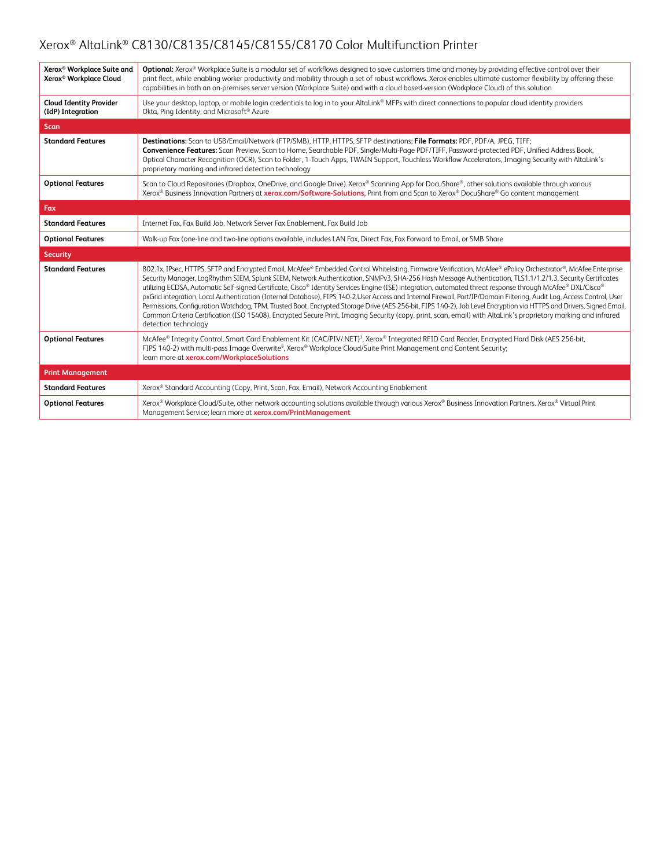| Xerox <sup>®</sup> Workplace Suite and<br>Xerox <sup>®</sup> Workplace Cloud | Optional: Xerox® Workplace Suite is a modular set of workflows designed to save customers time and money by providing effective control over their<br>print fleet, while enabling worker productivity and mobility through a set of robust workflows. Xerox enables ultimate customer flexibility by offering these<br>capabilities in both an on-premises server version (Workplace Suite) and with a cloud based-version (Workplace Cloud) of this solution                                                                                                                                                                                                                                                                                                                                                                                                                                                                                                                                                                          |
|------------------------------------------------------------------------------|----------------------------------------------------------------------------------------------------------------------------------------------------------------------------------------------------------------------------------------------------------------------------------------------------------------------------------------------------------------------------------------------------------------------------------------------------------------------------------------------------------------------------------------------------------------------------------------------------------------------------------------------------------------------------------------------------------------------------------------------------------------------------------------------------------------------------------------------------------------------------------------------------------------------------------------------------------------------------------------------------------------------------------------|
| <b>Cloud Identity Provider</b><br>(IdP) Integration                          | Use your desktop, laptop, or mobile login credentials to log in to your AltaLink® MFPs with direct connections to popular cloud identity providers<br>Okta, Ping Identity, and Microsoft® Azure                                                                                                                                                                                                                                                                                                                                                                                                                                                                                                                                                                                                                                                                                                                                                                                                                                        |
| <b>Scan</b>                                                                  |                                                                                                                                                                                                                                                                                                                                                                                                                                                                                                                                                                                                                                                                                                                                                                                                                                                                                                                                                                                                                                        |
| <b>Standard Features</b>                                                     | Destinations: Scan to USB/Email/Network (FTP/SMB), HTTP, HTTPS, SFTP destinations; File Formats: PDF, PDF/A, JPEG, TIFF;<br>Convenience Features: Scan Preview, Scan to Home, Searchable PDF, Single/Multi-Page PDF/TIFF, Password-protected PDF, Unified Address Book,<br>Optical Character Recognition (OCR), Scan to Folder, 1-Touch Apps, TWAIN Support, Touchless Workflow Accelerators, Imaging Security with AltaLink's<br>proprietary marking and infrared detection technology                                                                                                                                                                                                                                                                                                                                                                                                                                                                                                                                                |
| <b>Optional Features</b>                                                     | Scan to Cloud Repositories (Dropbox, OneDrive, and Google Drive). Xerox® Scanning App for DocuShare®, other solutions available through various<br>Xerox® Business Innovation Partners at xerox.com/Software-Solutions, Print from and Scan to Xerox® DocuShare® Go content management                                                                                                                                                                                                                                                                                                                                                                                                                                                                                                                                                                                                                                                                                                                                                 |
| Fax                                                                          |                                                                                                                                                                                                                                                                                                                                                                                                                                                                                                                                                                                                                                                                                                                                                                                                                                                                                                                                                                                                                                        |
| <b>Standard Features</b>                                                     | Internet Fax, Fax Build Job, Network Server Fax Enablement, Fax Build Job                                                                                                                                                                                                                                                                                                                                                                                                                                                                                                                                                                                                                                                                                                                                                                                                                                                                                                                                                              |
| <b>Optional Features</b>                                                     | Walk-up Fax (one-line and two-line options available, includes LAN Fax, Direct Fax, Fax Forward to Email, or SMB Share                                                                                                                                                                                                                                                                                                                                                                                                                                                                                                                                                                                                                                                                                                                                                                                                                                                                                                                 |
| <b>Security</b>                                                              |                                                                                                                                                                                                                                                                                                                                                                                                                                                                                                                                                                                                                                                                                                                                                                                                                                                                                                                                                                                                                                        |
| <b>Standard Features</b>                                                     | 802.1x, IPsec, HTTPS, SFTP and Encrypted Email, McAfee® Embedded Control Whitelisting, Firmware Verification, McAfee® ePolicy Orchestrator®, McAfee Enterprise<br>Security Manager, LogRhythm SIEM, Splunk SIEM, Network Authentication, SNMPv3, SHA-256 Hash Message Authentication, TLS1.1/1.2/1.3, Security Certificates<br>utilizing ECDSA, Automatic Self-signed Certificate, Cisco® Identity Services Engine (ISE) integration, automated threat response through McAfee® DXL/Cisco®<br>pxGrid integration, Local Authentication (Internal Database), FIPS 140-2.User Access and Internal Firewall, Port/IP/Domain Filtering, Audit Log, Access Control, User<br>Permissions, Configuration Watchdog, TPM, Trusted Boot, Encrypted Storage Drive (AES 256-bit, FIPS 140-2), Job Level Encryption via HTTPS and Drivers, Signed Email,<br>Common Criteria Certification (ISO 15408), Encrypted Secure Print, Imaging Security (copy, print, scan, email) with AltaLink's proprietary marking and infrared<br>detection technology |
| <b>Optional Features</b>                                                     | McAfee® Integrity Control, Smart Card Enablement Kit (CAC/PIV/.NET) <sup>3</sup> , Xerox® Integrated RFID Card Reader, Encrypted Hard Disk (AES 256-bit,<br>FIPS 140-2) with multi-pass Image Overwrite <sup>9</sup> , Xerox® Workplace Cloud/Suite Print Management and Content Security;<br>learn more at xerox.com/WorkplaceSolutions                                                                                                                                                                                                                                                                                                                                                                                                                                                                                                                                                                                                                                                                                               |
| <b>Print Management</b>                                                      |                                                                                                                                                                                                                                                                                                                                                                                                                                                                                                                                                                                                                                                                                                                                                                                                                                                                                                                                                                                                                                        |
| <b>Standard Features</b>                                                     | Xerox® Standard Accounting (Copy, Print, Scan, Fax, Email), Network Accounting Enablement                                                                                                                                                                                                                                                                                                                                                                                                                                                                                                                                                                                                                                                                                                                                                                                                                                                                                                                                              |
| <b>Optional Features</b>                                                     | Xerox® Workplace Cloud/Suite, other network accounting solutions available through various Xerox® Business Innovation Partners. Xerox® Virtual Print<br>Management Service; learn more at xerox.com/PrintManagement                                                                                                                                                                                                                                                                                                                                                                                                                                                                                                                                                                                                                                                                                                                                                                                                                    |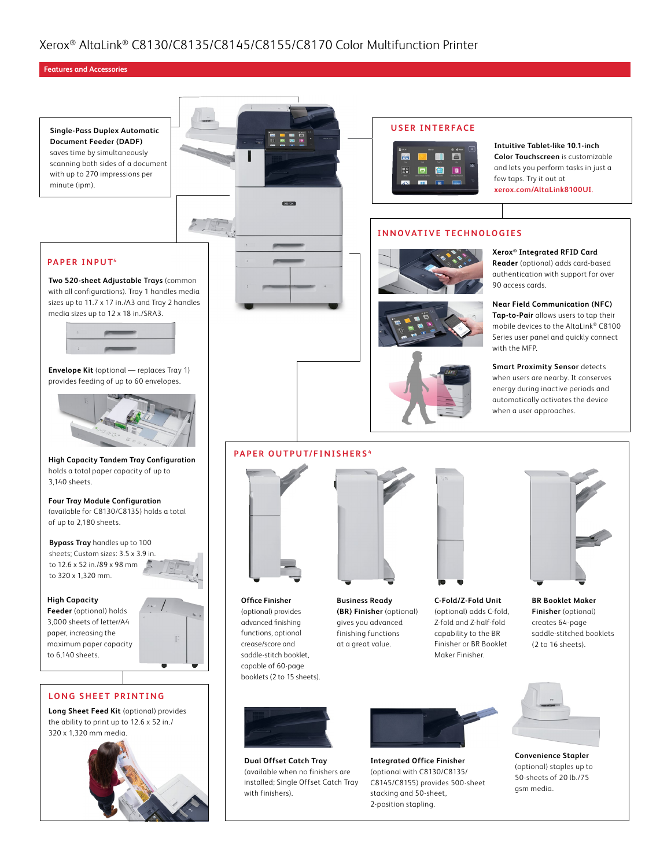#### **Features and Accessories**





**Dual Offset Catch Tray** (available when no finishers are installed; Single Offset Catch Tray with finishers).



**Integrated Office Finisher** (optional with C8130/C8135/ C8145/C8155) provides 500-sheet stacking and 50-sheet, 2-position stapling.

saddle-stitched booklets



**Convenience Stapler** (optional) staples up to 50-sheets of 20 lb./75 gsm media.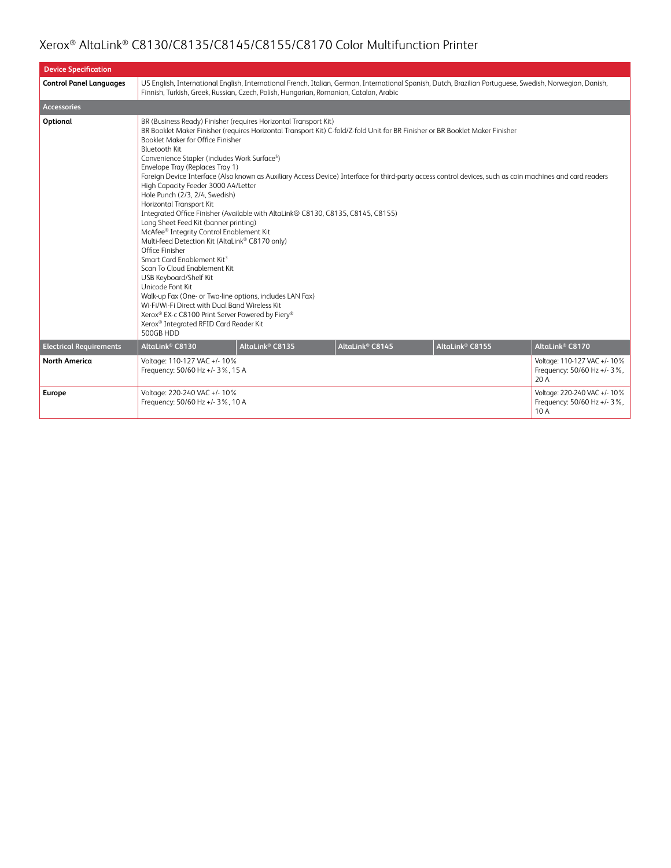| <b>Device Specification</b>    |                                                                                                                                                                                                                                                                                                                                                                                                                                                                                                                                                                                                                                                                                                                                                                                                                                                                                                                                                |                                                                                                                                                                                                                                                    |                             |                                                                                                                                                                                                                                                                                            |                                                                     |  |  |  |
|--------------------------------|------------------------------------------------------------------------------------------------------------------------------------------------------------------------------------------------------------------------------------------------------------------------------------------------------------------------------------------------------------------------------------------------------------------------------------------------------------------------------------------------------------------------------------------------------------------------------------------------------------------------------------------------------------------------------------------------------------------------------------------------------------------------------------------------------------------------------------------------------------------------------------------------------------------------------------------------|----------------------------------------------------------------------------------------------------------------------------------------------------------------------------------------------------------------------------------------------------|-----------------------------|--------------------------------------------------------------------------------------------------------------------------------------------------------------------------------------------------------------------------------------------------------------------------------------------|---------------------------------------------------------------------|--|--|--|
| <b>Control Panel Languages</b> |                                                                                                                                                                                                                                                                                                                                                                                                                                                                                                                                                                                                                                                                                                                                                                                                                                                                                                                                                | US English, International English, International French, Italian, German, International Spanish, Dutch, Brazilian Portuguese, Swedish, Norwegian, Danish,<br>Finnish, Turkish, Greek, Russian, Czech, Polish, Hungarian, Romanian, Catalan, Arabic |                             |                                                                                                                                                                                                                                                                                            |                                                                     |  |  |  |
| <b>Accessories</b>             |                                                                                                                                                                                                                                                                                                                                                                                                                                                                                                                                                                                                                                                                                                                                                                                                                                                                                                                                                |                                                                                                                                                                                                                                                    |                             |                                                                                                                                                                                                                                                                                            |                                                                     |  |  |  |
| Optional                       | BR (Business Ready) Finisher (requires Horizontal Transport Kit)<br>Booklet Maker for Office Finisher<br><b>Bluetooth Kit</b><br>Convenience Stapler (includes Work Surface <sup>5</sup> )<br>Envelope Tray (Replaces Tray 1)<br>High Capacity Feeder 3000 A4/Letter<br>Hole Punch (2/3, 2/4, Swedish)<br>Horizontal Transport Kit<br>Integrated Office Finisher (Available with AltaLink® C8130, C8135, C8145, C8155)<br>Long Sheet Feed Kit (banner printing)<br>McAfee® Integrity Control Enablement Kit<br>Multi-feed Detection Kit (AltaLink® C8170 only)<br>Office Finisher<br>Smart Card Enablement Kit <sup>3</sup><br>Scan To Cloud Enablement Kit<br>USB Keyboard/Shelf Kit<br>Unicode Font Kit<br>Walk-up Fax (One- or Two-line options, includes LAN Fax)<br>Wi-Fi/Wi-Fi Direct with Dual Band Wireless Kit<br>Xerox® EX-c C8100 Print Server Powered by Fiery®<br>Xerox <sup>®</sup> Integrated RFID Card Reader Kit<br>500GB HDD |                                                                                                                                                                                                                                                    |                             | BR Booklet Maker Finisher (requires Horizontal Transport Kit) C-fold/Z-fold Unit for BR Finisher or BR Booklet Maker Finisher<br>Foreign Device Interface (Also known as Auxiliary Access Device) Interface for third-party access control devices, such as coin machines and card readers |                                                                     |  |  |  |
| <b>Electrical Requirements</b> | AltaLink <sup>®</sup> C8130                                                                                                                                                                                                                                                                                                                                                                                                                                                                                                                                                                                                                                                                                                                                                                                                                                                                                                                    | AltaLink <sup>®</sup> C8135                                                                                                                                                                                                                        | AltaLink <sup>®</sup> C8145 | AltaLink <sup>®</sup> C8155                                                                                                                                                                                                                                                                | AltaLink <sup>®</sup> C8170                                         |  |  |  |
| <b>North America</b>           | Voltage: 110-127 VAC +/- 10%<br>Frequency: 50/60 Hz +/- 3%, 15 A                                                                                                                                                                                                                                                                                                                                                                                                                                                                                                                                                                                                                                                                                                                                                                                                                                                                               |                                                                                                                                                                                                                                                    |                             |                                                                                                                                                                                                                                                                                            | Voltage: 110-127 VAC +/- 10%<br>Frequency: 50/60 Hz +/- 3%,<br>20 A |  |  |  |
| Europe                         | Voltage: 220-240 VAC +/- 10%<br>Frequency: 50/60 Hz +/- 3%, 10 A                                                                                                                                                                                                                                                                                                                                                                                                                                                                                                                                                                                                                                                                                                                                                                                                                                                                               |                                                                                                                                                                                                                                                    |                             |                                                                                                                                                                                                                                                                                            | Voltage: 220-240 VAC +/- 10%<br>Frequency: 50/60 Hz +/- 3%,<br>10 A |  |  |  |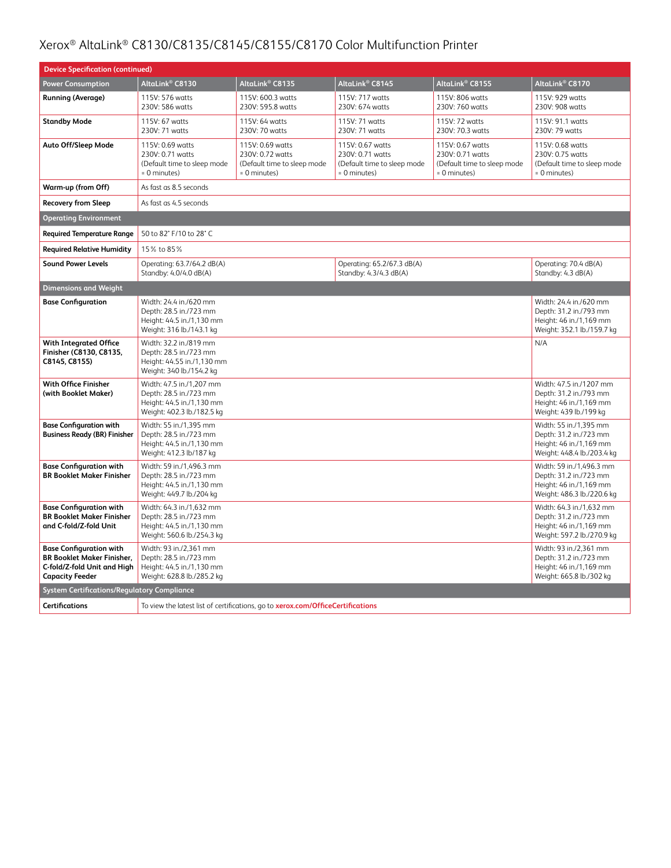| <b>Device Specification (continued)</b>                                                                                      |                                                                                                               |                                                                                     |                                                                                     |                                                                                     |                                                                                                             |  |
|------------------------------------------------------------------------------------------------------------------------------|---------------------------------------------------------------------------------------------------------------|-------------------------------------------------------------------------------------|-------------------------------------------------------------------------------------|-------------------------------------------------------------------------------------|-------------------------------------------------------------------------------------------------------------|--|
| <b>Power Consumption</b>                                                                                                     | AltaLink® C8130                                                                                               | AltaLink® C8135                                                                     | AltaLink <sup>®</sup> C8145                                                         | AltaLink <sup>®</sup> C8155                                                         | AltaLink® C8170                                                                                             |  |
| <b>Running (Average)</b>                                                                                                     | 115V: 576 watts<br>230V: 586 watts                                                                            | 115V: 600.3 watts<br>230V: 595.8 watts                                              | 115V: 717 watts<br>230V: 674 watts                                                  | 115V: 806 watts<br>230V: 760 watts                                                  | 115V: 929 watts<br>230V: 908 watts                                                                          |  |
| <b>Standby Mode</b>                                                                                                          | 115V: 67 watts<br>230V: 71 watts                                                                              | 115V: 64 watts<br>230V: 70 watts                                                    | 115V: 71 watts<br>230V: 71 watts                                                    | 115V: 72 watts<br>230V: 70.3 watts                                                  | 115V: 91.1 watts<br>230V: 79 watts                                                                          |  |
| Auto Off/Sleep Mode                                                                                                          | 115V: 0.69 watts<br>230V: 0.71 watts<br>(Default time to sleep mode<br>= 0 minutes)                           | 115V: 0.69 watts<br>230V: 0.72 watts<br>(Default time to sleep mode<br>= 0 minutes) | 115V: 0.67 watts<br>230V: 0.71 watts<br>(Default time to sleep mode<br>= 0 minutes) | 115V: 0.67 watts<br>230V: 0.71 watts<br>(Default time to sleep mode<br>= 0 minutes) | 115V: 0.68 watts<br>230V: 0.75 watts<br>(Default time to sleep mode<br>= 0 minutes)                         |  |
| Warm-up (from Off)                                                                                                           | As fast as 8.5 seconds                                                                                        |                                                                                     |                                                                                     |                                                                                     |                                                                                                             |  |
| <b>Recovery from Sleep</b>                                                                                                   | As fast as 4.5 seconds                                                                                        |                                                                                     |                                                                                     |                                                                                     |                                                                                                             |  |
| <b>Operating Environment</b>                                                                                                 |                                                                                                               |                                                                                     |                                                                                     |                                                                                     |                                                                                                             |  |
| <b>Required Temperature Range</b>                                                                                            | 50 to 82° F/10 to 28° C                                                                                       |                                                                                     |                                                                                     |                                                                                     |                                                                                                             |  |
| <b>Required Relative Humidity</b>                                                                                            | 15% to 85%                                                                                                    |                                                                                     |                                                                                     |                                                                                     |                                                                                                             |  |
| <b>Sound Power Levels</b>                                                                                                    | Operating: 63.7/64.2 dB(A)<br>Standby: 4.0/4.0 dB(A)                                                          |                                                                                     | Operating: 65.2/67.3 dB(A)<br>Standby: 4.3/4.3 dB(A)                                |                                                                                     | Operating: 70.4 dB(A)<br>Standby: 4.3 dB(A)                                                                 |  |
| <b>Dimensions and Weight</b>                                                                                                 |                                                                                                               |                                                                                     |                                                                                     |                                                                                     |                                                                                                             |  |
| <b>Base Configuration</b>                                                                                                    | Width: 24.4 in./620 mm<br>Depth: 28.5 in./723 mm<br>Height: 44.5 in./1,130 mm<br>Weight: 316 lb./143.1 kg     |                                                                                     |                                                                                     |                                                                                     | Width: 24.4 in./620 mm<br>Depth: 31.2 in./793 mm<br>Height: 46 in./1,169 mm<br>Weight: 352.1 lb./159.7 kg   |  |
| <b>With Integrated Office</b><br>Finisher (C8130, C8135,<br>C8145, C8155)                                                    | Width: 32.2 in./819 mm<br>Depth: 28.5 in./723 mm<br>Height: 44.55 in./1,130 mm<br>Weight: 340 lb./154.2 kg    |                                                                                     |                                                                                     |                                                                                     | N/A                                                                                                         |  |
| With Office Finisher<br>(with Booklet Maker)                                                                                 | Width: 47.5 in./1,207 mm<br>Depth: 28.5 in./723 mm<br>Height: 44.5 in./1,130 mm<br>Weight: 402.3 lb./182.5 kg |                                                                                     |                                                                                     |                                                                                     | Width: 47.5 in./1207 mm<br>Depth: 31.2 in./793 mm<br>Height: 46 in./1,169 mm<br>Weight: 439 lb./199 kg      |  |
| <b>Base Configuration with</b><br><b>Business Ready (BR) Finisher</b>                                                        | Width: 55 in./1.395 mm<br>Depth: 28.5 in./723 mm<br>Height: 44.5 in./1,130 mm<br>Weight: 412.3 lb/187 kg      |                                                                                     |                                                                                     |                                                                                     | Width: 55 in./1,395 mm<br>Depth: 31.2 in./723 mm<br>Height: 46 in./1,169 mm<br>Weight: 448.4 lb./203.4 kg   |  |
| <b>Base Configuration with</b><br><b>BR Booklet Maker Finisher</b>                                                           | Width: 59 in./1,496.3 mm<br>Depth: 28.5 in./723 mm<br>Height: 44.5 in./1,130 mm<br>Weight: 449.7 lb./204 kg   |                                                                                     |                                                                                     |                                                                                     | Width: 59 in./1,496.3 mm<br>Depth: 31.2 in./723 mm<br>Height: 46 in./1,169 mm<br>Weight: 486.3 lb./220.6 kg |  |
| <b>Base Configuration with</b><br><b>BR Booklet Maker Finisher</b><br>and C-fold/Z-fold Unit                                 | Width: 64.3 in./1,632 mm<br>Depth: 28.5 in./723 mm<br>Height: 44.5 in./1,130 mm<br>Weight: 560.6 lb./254.3 kg |                                                                                     |                                                                                     |                                                                                     | Width: 64.3 in./1,632 mm<br>Depth: 31.2 in./723 mm<br>Height: 46 in./1,169 mm<br>Weight: 597.2 lb./270.9 kg |  |
| <b>Base Configuration with</b><br><b>BR Booklet Maker Finisher.</b><br>C-fold/Z-fold Unit and High<br><b>Capacity Feeder</b> | Width: 93 in./2,361 mm<br>Depth: 28.5 in./723 mm<br>Height: 44.5 in./1,130 mm<br>Weight: 628.8 lb./285.2 kg   |                                                                                     |                                                                                     |                                                                                     | Width: 93 in./2,361 mm<br>Depth: 31.2 in./723 mm<br>Height: 46 in./1,169 mm<br>Weight: 665.8 lb./302 kg     |  |
| <b>System Certifications/Regulatory Compliance</b>                                                                           |                                                                                                               |                                                                                     |                                                                                     |                                                                                     |                                                                                                             |  |
| <b>Certifications</b>                                                                                                        | To view the latest list of certifications, go to xerox.com/OfficeCertifications                               |                                                                                     |                                                                                     |                                                                                     |                                                                                                             |  |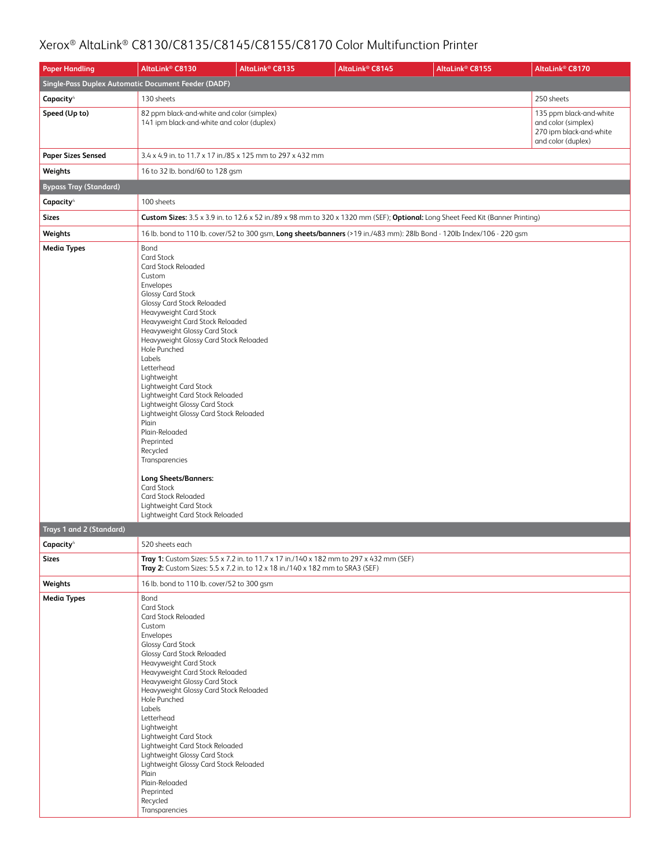| <b>Paper Handling</b>                               | AltaLink <sup>®</sup> C8130                                                                                                                                                                                                                                                                                                                                                                                                                                                                                                                                                                                                                                                      | AltaLink <sup>®</sup> C8135                                                                                                                                              | AltaLink® C8145 | AltaLink <sup>®</sup> C8155                                                                                                     | AltaLink <sup>®</sup> C8170                                                                     |  |  |  |
|-----------------------------------------------------|----------------------------------------------------------------------------------------------------------------------------------------------------------------------------------------------------------------------------------------------------------------------------------------------------------------------------------------------------------------------------------------------------------------------------------------------------------------------------------------------------------------------------------------------------------------------------------------------------------------------------------------------------------------------------------|--------------------------------------------------------------------------------------------------------------------------------------------------------------------------|-----------------|---------------------------------------------------------------------------------------------------------------------------------|-------------------------------------------------------------------------------------------------|--|--|--|
| Single-Pass Duplex Automatic Document Feeder (DADF) |                                                                                                                                                                                                                                                                                                                                                                                                                                                                                                                                                                                                                                                                                  |                                                                                                                                                                          |                 |                                                                                                                                 |                                                                                                 |  |  |  |
| Capacity <sup>4</sup>                               | 130 sheets                                                                                                                                                                                                                                                                                                                                                                                                                                                                                                                                                                                                                                                                       |                                                                                                                                                                          |                 |                                                                                                                                 | 250 sheets                                                                                      |  |  |  |
| Speed (Up to)                                       | 82 ppm black-and-white and color (simplex)<br>141 ipm black-and-white and color (duplex)                                                                                                                                                                                                                                                                                                                                                                                                                                                                                                                                                                                         |                                                                                                                                                                          |                 |                                                                                                                                 | 135 ppm black-and-white<br>and color (simplex)<br>270 ipm black-and-white<br>and color (duplex) |  |  |  |
| <b>Paper Sizes Sensed</b>                           | 3.4 x 4.9 in. to 11.7 x 17 in./85 x 125 mm to 297 x 432 mm                                                                                                                                                                                                                                                                                                                                                                                                                                                                                                                                                                                                                       |                                                                                                                                                                          |                 |                                                                                                                                 |                                                                                                 |  |  |  |
| Weights                                             | 16 to 32 lb. bond/60 to 128 gsm                                                                                                                                                                                                                                                                                                                                                                                                                                                                                                                                                                                                                                                  |                                                                                                                                                                          |                 |                                                                                                                                 |                                                                                                 |  |  |  |
| <b>Bypass Tray (Standard)</b>                       |                                                                                                                                                                                                                                                                                                                                                                                                                                                                                                                                                                                                                                                                                  |                                                                                                                                                                          |                 |                                                                                                                                 |                                                                                                 |  |  |  |
| Capacity <sup>4</sup>                               | 100 sheets                                                                                                                                                                                                                                                                                                                                                                                                                                                                                                                                                                                                                                                                       |                                                                                                                                                                          |                 |                                                                                                                                 |                                                                                                 |  |  |  |
| <b>Sizes</b>                                        |                                                                                                                                                                                                                                                                                                                                                                                                                                                                                                                                                                                                                                                                                  |                                                                                                                                                                          |                 | Custom Sizes: 3.5 x 3.9 in. to 12.6 x 52 in./89 x 98 mm to 320 x 1320 mm (SEF); Optional: Long Sheet Feed Kit (Banner Printing) |                                                                                                 |  |  |  |
| Weights                                             |                                                                                                                                                                                                                                                                                                                                                                                                                                                                                                                                                                                                                                                                                  |                                                                                                                                                                          |                 | 16 lb. bond to 110 lb. cover/52 to 300 gsm, Long sheets/banners (>19 in./483 mm): 28lb Bond - 120lb Index/106 - 220 gsm         |                                                                                                 |  |  |  |
| <b>Media Types</b>                                  | Bond<br>Card Stock<br><b>Card Stock Reloaded</b><br>Custom<br>Envelopes<br><b>Glossy Card Stock</b><br>Glossy Card Stock Reloaded<br>Heavyweight Card Stock<br>Heavyweight Card Stock Reloaded<br>Heavyweight Glossy Card Stock<br>Heavyweight Glossy Card Stock Reloaded<br>Hole Punched<br>Labels<br>Letterhead<br>Lightweight<br>Lightweight Card Stock<br>Lightweight Card Stock Reloaded<br>Lightweight Glossy Card Stock<br>Lightweight Glossy Card Stock Reloaded<br>Plain<br>Plain-Reloaded<br>Preprinted<br>Recycled<br>Transparencies<br><b>Long Sheets/Banners:</b><br>Card Stock<br>Card Stock Reloaded<br>Lightweight Card Stock<br>Lightweight Card Stock Reloaded |                                                                                                                                                                          |                 |                                                                                                                                 |                                                                                                 |  |  |  |
| Trays 1 and 2 (Standard)                            |                                                                                                                                                                                                                                                                                                                                                                                                                                                                                                                                                                                                                                                                                  |                                                                                                                                                                          |                 |                                                                                                                                 |                                                                                                 |  |  |  |
| Capacity <sup>4</sup>                               | 520 sheets each                                                                                                                                                                                                                                                                                                                                                                                                                                                                                                                                                                                                                                                                  |                                                                                                                                                                          |                 |                                                                                                                                 |                                                                                                 |  |  |  |
| <b>Sizes</b>                                        |                                                                                                                                                                                                                                                                                                                                                                                                                                                                                                                                                                                                                                                                                  | Tray 1: Custom Sizes: 5.5 x 7.2 in. to 11.7 x 17 in./140 x 182 mm to 297 x 432 mm (SEF)<br>Tray 2: Custom Sizes: 5.5 x 7.2 in. to 12 x 18 in./140 x 182 mm to SRA3 (SEF) |                 |                                                                                                                                 |                                                                                                 |  |  |  |
| Weights                                             | 16 lb. bond to 110 lb. cover/52 to 300 gsm                                                                                                                                                                                                                                                                                                                                                                                                                                                                                                                                                                                                                                       |                                                                                                                                                                          |                 |                                                                                                                                 |                                                                                                 |  |  |  |
| <b>Media Types</b>                                  | Bond<br>Card Stock<br>Card Stock Reloaded<br>Custom<br>Envelopes<br><b>Glossy Card Stock</b><br>Glossy Card Stock Reloaded<br>Heavyweight Card Stock<br>Heavyweight Card Stock Reloaded<br>Heavyweight Glossy Card Stock<br>Heavyweight Glossy Card Stock Reloaded<br>Hole Punched<br>Labels<br>Letterhead<br>Lightweight<br>Lightweight Card Stock<br>Lightweight Card Stock Reloaded<br>Lightweight Glossy Card Stock<br>Lightweight Glossy Card Stock Reloaded<br>Plain<br>Plain-Reloaded<br>Preprinted<br>Recycled<br>Transparencies                                                                                                                                         |                                                                                                                                                                          |                 |                                                                                                                                 |                                                                                                 |  |  |  |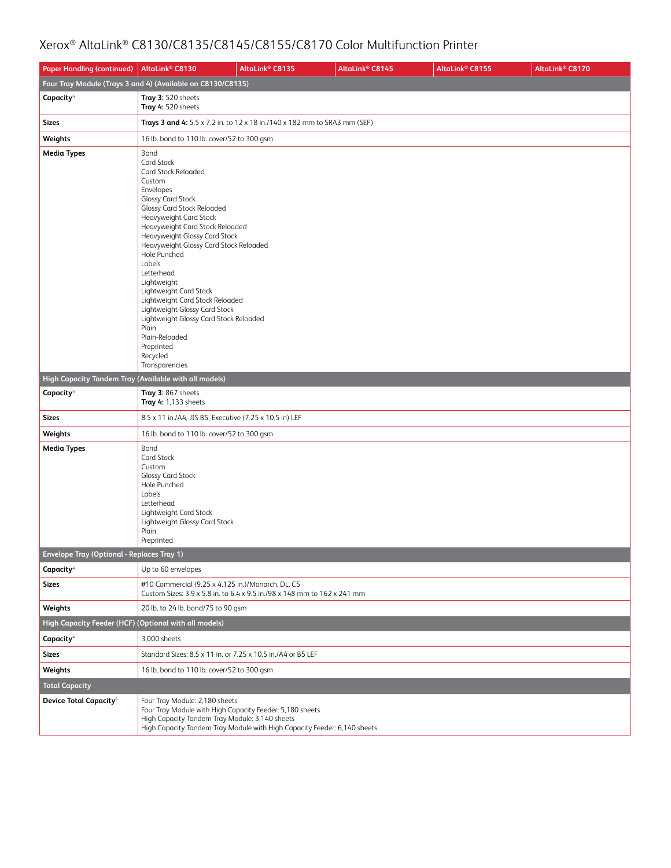| <b>Paper Handling (continued)</b>                                 | AltaLink <sup>®</sup> C8130                                                                                                                                                                                                                                                                                                                                                                                                                                                                                                                            | AltaLink <sup>®</sup> C8135                                               | AltaLink <sup>®</sup> C8145 | AltaLink® C8155 | AltaLink <sup>®</sup> C8170 |  |  |  |
|-------------------------------------------------------------------|--------------------------------------------------------------------------------------------------------------------------------------------------------------------------------------------------------------------------------------------------------------------------------------------------------------------------------------------------------------------------------------------------------------------------------------------------------------------------------------------------------------------------------------------------------|---------------------------------------------------------------------------|-----------------------------|-----------------|-----------------------------|--|--|--|
|                                                                   | Four Tray Module (Trays 3 and 4) (Available on C8130/C8135)                                                                                                                                                                                                                                                                                                                                                                                                                                                                                            |                                                                           |                             |                 |                             |  |  |  |
| Capacity <sup>4</sup>                                             | Tray 3: 520 sheets<br>Tray 4: 520 sheets                                                                                                                                                                                                                                                                                                                                                                                                                                                                                                               |                                                                           |                             |                 |                             |  |  |  |
| <b>Sizes</b>                                                      |                                                                                                                                                                                                                                                                                                                                                                                                                                                                                                                                                        | Trays 3 and 4: 5.5 x 7.2 in. to 12 x 18 in./140 x 182 mm to SRA3 mm (SEF) |                             |                 |                             |  |  |  |
| Weights                                                           | 16 lb. bond to 110 lb. cover/52 to 300 gsm                                                                                                                                                                                                                                                                                                                                                                                                                                                                                                             |                                                                           |                             |                 |                             |  |  |  |
| <b>Media Types</b>                                                | Bond<br><b>Card Stock</b><br><b>Card Stock Reloaded</b><br>Custom<br>Envelopes<br><b>Glossy Card Stock</b><br>Glossy Card Stock Reloaded<br>Heavyweight Card Stock<br>Heavyweight Card Stock Reloaded<br>Heavyweight Glossy Card Stock<br>Heavyweight Glossy Card Stock Reloaded<br>Hole Punched<br>Labels<br>Letterhead<br>Lightweight<br>Lightweight Card Stock<br>Lightweight Card Stock Reloaded<br>Lightweight Glossy Card Stock<br>Lightweight Glossy Card Stock Reloaded<br>Plain<br>Plain-Reloaded<br>Preprinted<br>Recycled<br>Transparencies |                                                                           |                             |                 |                             |  |  |  |
| High Capacity Tandem Tray (Available with all models)             |                                                                                                                                                                                                                                                                                                                                                                                                                                                                                                                                                        |                                                                           |                             |                 |                             |  |  |  |
| Capacity <sup>4</sup>                                             | Tray 3: 867 sheets<br>Tray 4: 1,133 sheets                                                                                                                                                                                                                                                                                                                                                                                                                                                                                                             |                                                                           |                             |                 |                             |  |  |  |
| <b>Sizes</b>                                                      | 8.5 x 11 in./A4, JIS B5, Executive (7.25 x 10.5 in) LEF                                                                                                                                                                                                                                                                                                                                                                                                                                                                                                |                                                                           |                             |                 |                             |  |  |  |
| Weights                                                           | 16 lb. bond to 110 lb. cover/52 to 300 gsm                                                                                                                                                                                                                                                                                                                                                                                                                                                                                                             |                                                                           |                             |                 |                             |  |  |  |
| <b>Media Types</b>                                                | Bond<br><b>Card Stock</b><br>Custom<br>Glossy Card Stock<br>Hole Punched<br>Labels<br>Letterhead<br>Lightweight Card Stock<br>Lightweight Glossy Card Stock<br>Plain<br>Preprinted                                                                                                                                                                                                                                                                                                                                                                     |                                                                           |                             |                 |                             |  |  |  |
| <b>Envelope Tray (Optional - Replaces Tray 1)</b>                 |                                                                                                                                                                                                                                                                                                                                                                                                                                                                                                                                                        |                                                                           |                             |                 |                             |  |  |  |
| Capacity <sup>4</sup>                                             | Up to 60 envelopes                                                                                                                                                                                                                                                                                                                                                                                                                                                                                                                                     |                                                                           |                             |                 |                             |  |  |  |
| <b>Sizes</b>                                                      | #10 Commercial (9.25 x 4.125 in.)/Monarch, DL, C5                                                                                                                                                                                                                                                                                                                                                                                                                                                                                                      | Custom Sizes: 3.9 x 5.8 in, to 6.4 x 9.5 in./98 x 148 mm to 162 x 241 mm  |                             |                 |                             |  |  |  |
| Weights                                                           | 20 lb. to 24 lb. bond/75 to 90 gsm                                                                                                                                                                                                                                                                                                                                                                                                                                                                                                                     |                                                                           |                             |                 |                             |  |  |  |
| High Capacity Feeder (HCF) (Optional with all models)             |                                                                                                                                                                                                                                                                                                                                                                                                                                                                                                                                                        |                                                                           |                             |                 |                             |  |  |  |
| Capacity <sup>4</sup>                                             | 3,000 sheets                                                                                                                                                                                                                                                                                                                                                                                                                                                                                                                                           |                                                                           |                             |                 |                             |  |  |  |
| <b>Sizes</b>                                                      | Standard Sizes: 8.5 x 11 in. or 7.25 x 10.5 in./A4 or B5 LEF                                                                                                                                                                                                                                                                                                                                                                                                                                                                                           |                                                                           |                             |                 |                             |  |  |  |
| Weights                                                           | 16 lb. bond to 110 lb. cover/52 to 300 gsm                                                                                                                                                                                                                                                                                                                                                                                                                                                                                                             |                                                                           |                             |                 |                             |  |  |  |
| <b>Total Capacity</b><br><b>Device Total Capacity<sup>4</sup></b> | Four Tray Module: 2,180 sheets<br>Four Tray Module with High Capacity Feeder: 5,180 sheets<br>High Capacity Tandem Tray Module: 3,140 sheets                                                                                                                                                                                                                                                                                                                                                                                                           | High Capacity Tandem Tray Module with High Capacity Feeder: 6,140 sheets  |                             |                 |                             |  |  |  |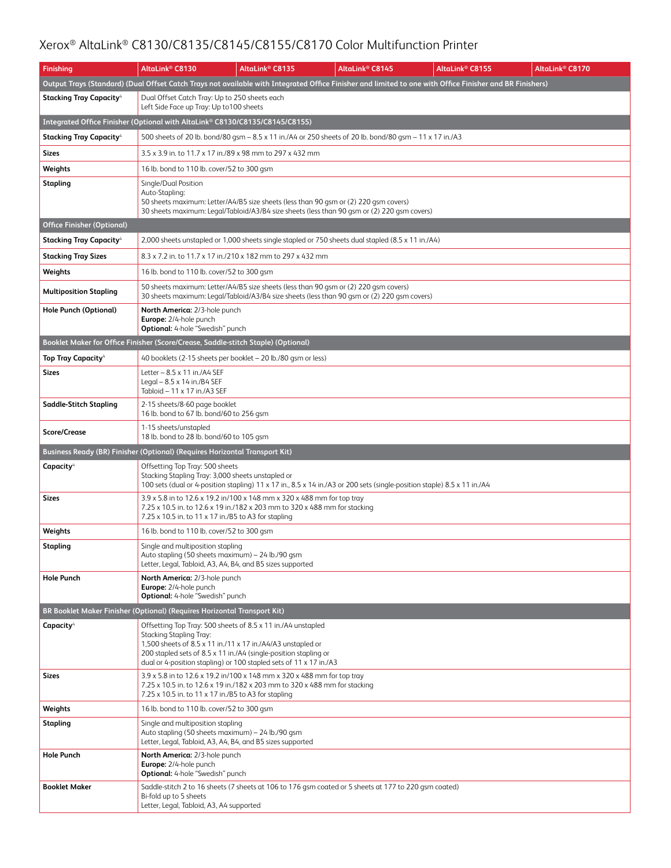| <b>Finishing</b>                                                                  | AltaLink® C8130                                                                                                                                      | AltaLink <sup>®</sup> C8135                                                                                                                                                                                                                                           | AltaLink <sup>®</sup> C8145 | AltaLink® C8155                                                                                                                                          | AltaLink® C8170 |
|-----------------------------------------------------------------------------------|------------------------------------------------------------------------------------------------------------------------------------------------------|-----------------------------------------------------------------------------------------------------------------------------------------------------------------------------------------------------------------------------------------------------------------------|-----------------------------|----------------------------------------------------------------------------------------------------------------------------------------------------------|-----------------|
|                                                                                   |                                                                                                                                                      |                                                                                                                                                                                                                                                                       |                             | Output Trays (Standard) (Dual Offset Catch Trays not available with Integrated Office Finisher and limited to one with Office Finisher and BR Finishers) |                 |
| <b>Stacking Tray Capacity</b> <sup>4</sup>                                        | Dual Offset Catch Tray: Up to 250 sheets each<br>Left Side Face up Tray: Up to 100 sheets                                                            |                                                                                                                                                                                                                                                                       |                             |                                                                                                                                                          |                 |
| Integrated Office Finisher (Optional with AltaLink® C8130/C8135/C8145/C8155)      |                                                                                                                                                      |                                                                                                                                                                                                                                                                       |                             |                                                                                                                                                          |                 |
| <b>Stacking Tray Capacity</b>                                                     |                                                                                                                                                      | 500 sheets of 20 lb. bond/80 gsm – 8.5 x 11 in./A4 or 250 sheets of 20 lb. bond/80 gsm – 11 x 17 in./A3                                                                                                                                                               |                             |                                                                                                                                                          |                 |
| <b>Sizes</b>                                                                      | 3.5 x 3.9 in. to 11.7 x 17 in./89 x 98 mm to 297 x 432 mm                                                                                            |                                                                                                                                                                                                                                                                       |                             |                                                                                                                                                          |                 |
| Weights                                                                           | 16 lb. bond to 110 lb. cover/52 to 300 gsm                                                                                                           |                                                                                                                                                                                                                                                                       |                             |                                                                                                                                                          |                 |
| Stapling                                                                          | Single/Dual Position<br>Auto-Stapling:                                                                                                               | 50 sheets maximum: Letter/A4/B5 size sheets (less than 90 gsm or (2) 220 gsm covers)<br>30 sheets maximum: Legal/Tabloid/A3/B4 size sheets (less than 90 gsm or (2) 220 gsm covers)                                                                                   |                             |                                                                                                                                                          |                 |
| <b>Office Finisher (Optional)</b>                                                 |                                                                                                                                                      |                                                                                                                                                                                                                                                                       |                             |                                                                                                                                                          |                 |
| <b>Stacking Tray Capacity</b> <sup>4</sup>                                        |                                                                                                                                                      | 2,000 sheets unstapled or 1,000 sheets single stapled or 750 sheets dual stapled (8.5 x 11 in./A4)                                                                                                                                                                    |                             |                                                                                                                                                          |                 |
| <b>Stacking Tray Sizes</b>                                                        |                                                                                                                                                      | 8.3 x 7.2 in. to 11.7 x 17 in./210 x 182 mm to 297 x 432 mm                                                                                                                                                                                                           |                             |                                                                                                                                                          |                 |
| Weights                                                                           | 16 lb. bond to 110 lb. cover/52 to 300 gsm                                                                                                           |                                                                                                                                                                                                                                                                       |                             |                                                                                                                                                          |                 |
| <b>Multiposition Stapling</b>                                                     |                                                                                                                                                      | 50 sheets maximum: Letter/A4/B5 size sheets (less than 90 gsm or (2) 220 gsm covers)<br>30 sheets maximum: Legal/Tabloid/A3/B4 size sheets (less than 90 qsm or (2) 220 qsm covers)                                                                                   |                             |                                                                                                                                                          |                 |
| Hole Punch (Optional)                                                             | North America: 2/3-hole punch<br>Europe: 2/4-hole punch<br><b>Optional:</b> 4-hole "Swedish" punch                                                   |                                                                                                                                                                                                                                                                       |                             |                                                                                                                                                          |                 |
| Booklet Maker for Office Finisher (Score/Crease, Saddle-stitch Staple) (Optional) |                                                                                                                                                      |                                                                                                                                                                                                                                                                       |                             |                                                                                                                                                          |                 |
| <b>Top Tray Capacity<sup>4</sup></b>                                              |                                                                                                                                                      | 40 booklets (2-15 sheets per booklet - 20 lb./80 gsm or less)                                                                                                                                                                                                         |                             |                                                                                                                                                          |                 |
| Sizes                                                                             | Letter $-8.5 \times 11$ in./A4 SEF<br>Legal $-8.5 \times 14$ in./B4 SEF<br>Tabloid - 11 x 17 in./A3 SEF                                              |                                                                                                                                                                                                                                                                       |                             |                                                                                                                                                          |                 |
| Saddle-Stitch Stapling                                                            | 2-15 sheets/8-60 page booklet<br>16 lb. bond to 67 lb. bond/60 to 256 gsm                                                                            |                                                                                                                                                                                                                                                                       |                             |                                                                                                                                                          |                 |
| <b>Score/Crease</b>                                                               | 1-15 sheets/unstapled<br>18 lb. bond to 28 lb. bond/60 to 105 gsm                                                                                    |                                                                                                                                                                                                                                                                       |                             |                                                                                                                                                          |                 |
| Business Ready (BR) Finisher (Optional) (Requires Horizontal Transport Kit)       |                                                                                                                                                      |                                                                                                                                                                                                                                                                       |                             |                                                                                                                                                          |                 |
| Capacity <sup>4</sup>                                                             | Offsetting Top Tray: 500 sheets<br>Stacking Stapling Tray: 3,000 sheets unstapled or                                                                 | 100 sets (dual or 4-position stapling) 11 x 17 in., 8.5 x 14 in./A3 or 200 sets (single-position staple) 8.5 x 11 in./A4                                                                                                                                              |                             |                                                                                                                                                          |                 |
| Sizes                                                                             | 7.25 x 10.5 in. to 11 x 17 in./B5 to A3 for stapling                                                                                                 | 3.9 x 5.8 in to 12.6 x 19.2 in/100 x 148 mm x 320 x 488 mm for top tray<br>7.25 x 10.5 in. to 12.6 x 19 in./182 x 203 mm to 320 x 488 mm for stacking                                                                                                                 |                             |                                                                                                                                                          |                 |
| Weights                                                                           | 16 lb. bond to 110 lb. cover/52 to 300 gsm                                                                                                           |                                                                                                                                                                                                                                                                       |                             |                                                                                                                                                          |                 |
| Stapling                                                                          | Single and multiposition stapling<br>Auto stapling (50 sheets maximum) - 24 lb./90 gsm<br>Letter, Legal, Tabloid, A3, A4, B4, and B5 sizes supported |                                                                                                                                                                                                                                                                       |                             |                                                                                                                                                          |                 |
| <b>Hole Punch</b>                                                                 | North America: 2/3-hole punch<br>Europe: 2/4-hole punch<br><b>Optional:</b> 4-hole "Swedish" punch                                                   |                                                                                                                                                                                                                                                                       |                             |                                                                                                                                                          |                 |
| BR Booklet Maker Finisher (Optional) (Requires Horizontal Transport Kit)          |                                                                                                                                                      |                                                                                                                                                                                                                                                                       |                             |                                                                                                                                                          |                 |
| Capacity <sup>4</sup>                                                             | Stacking Stapling Tray:                                                                                                                              | Offsetting Top Tray: 500 sheets of 8.5 x 11 in./A4 unstapled<br>1,500 sheets of 8.5 x 11 in./11 x 17 in./A4/A3 unstapled or<br>200 stapled sets of 8.5 x 11 in./A4 (single-position stapling or<br>dual or 4-position stapling) or 100 stapled sets of 11 x 17 in./A3 |                             |                                                                                                                                                          |                 |
| Sizes                                                                             | 7.25 x 10.5 in. to 11 x 17 in./B5 to A3 for stapling                                                                                                 | 3.9 x 5.8 in to 12.6 x 19.2 in/100 x 148 mm x 320 x 488 mm for top tray<br>7.25 x 10.5 in. to 12.6 x 19 in./182 x 203 mm to 320 x 488 mm for stacking                                                                                                                 |                             |                                                                                                                                                          |                 |
| Weights                                                                           | 16 lb. bond to 110 lb. cover/52 to 300 gsm                                                                                                           |                                                                                                                                                                                                                                                                       |                             |                                                                                                                                                          |                 |
| Stapling                                                                          | Single and multiposition stapling<br>Auto stapling (50 sheets maximum) - 24 lb./90 gsm<br>Letter, Legal, Tabloid, A3, A4, B4, and B5 sizes supported |                                                                                                                                                                                                                                                                       |                             |                                                                                                                                                          |                 |
| <b>Hole Punch</b>                                                                 | North America: 2/3-hole punch<br>Europe: 2/4-hole punch<br><b>Optional:</b> 4-hole "Swedish" punch                                                   |                                                                                                                                                                                                                                                                       |                             |                                                                                                                                                          |                 |
| <b>Booklet Maker</b>                                                              | Bi-fold up to 5 sheets<br>Letter, Legal, Tabloid, A3, A4 supported                                                                                   | Saddle-stitch 2 to 16 sheets (7 sheets at 106 to 176 gsm coated or 5 sheets at 177 to 220 gsm coated)                                                                                                                                                                 |                             |                                                                                                                                                          |                 |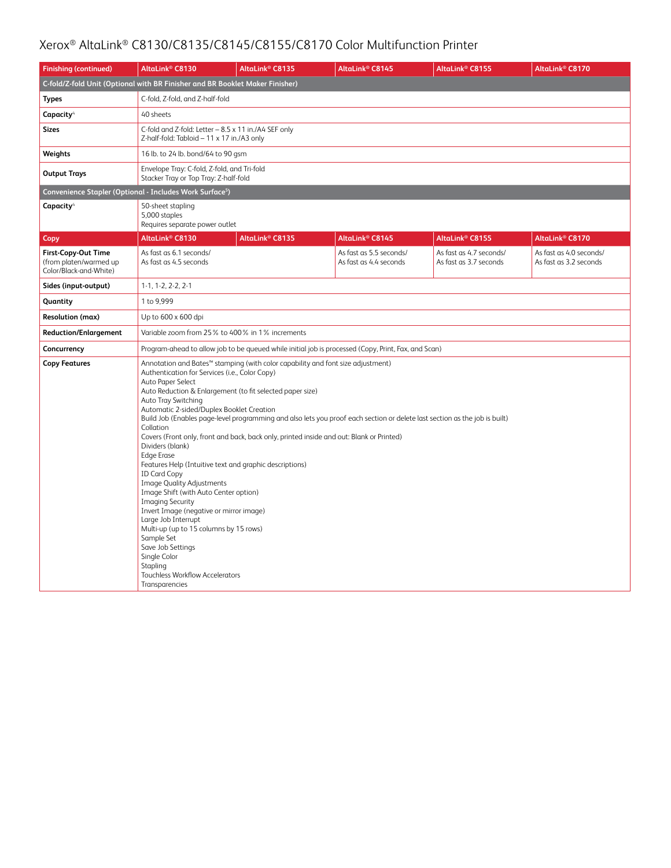| <b>Finishing (continued)</b>                                                   | AltaLink <sup>®</sup> C8130                                                                                                                                                                                                                                                                                                                                                                                                                                                                                                                                                                                                                                                                                                                                                                                                                                                                                                                                                                                                                         | AltaLink <sup>®</sup> C8135                                                  | AltaLink <sup>®</sup> C8145                       | AltaLink® C8155                                   | AltaLink <sup>®</sup> C8170                       |  |  |  |
|--------------------------------------------------------------------------------|-----------------------------------------------------------------------------------------------------------------------------------------------------------------------------------------------------------------------------------------------------------------------------------------------------------------------------------------------------------------------------------------------------------------------------------------------------------------------------------------------------------------------------------------------------------------------------------------------------------------------------------------------------------------------------------------------------------------------------------------------------------------------------------------------------------------------------------------------------------------------------------------------------------------------------------------------------------------------------------------------------------------------------------------------------|------------------------------------------------------------------------------|---------------------------------------------------|---------------------------------------------------|---------------------------------------------------|--|--|--|
|                                                                                |                                                                                                                                                                                                                                                                                                                                                                                                                                                                                                                                                                                                                                                                                                                                                                                                                                                                                                                                                                                                                                                     | C-fold/Z-fold Unit (Optional with BR Finisher and BR Booklet Maker Finisher) |                                                   |                                                   |                                                   |  |  |  |
| <b>Types</b>                                                                   | C-fold, Z-fold, and Z-half-fold                                                                                                                                                                                                                                                                                                                                                                                                                                                                                                                                                                                                                                                                                                                                                                                                                                                                                                                                                                                                                     |                                                                              |                                                   |                                                   |                                                   |  |  |  |
| Capacity <sup>4</sup>                                                          | 40 sheets                                                                                                                                                                                                                                                                                                                                                                                                                                                                                                                                                                                                                                                                                                                                                                                                                                                                                                                                                                                                                                           |                                                                              |                                                   |                                                   |                                                   |  |  |  |
| <b>Sizes</b>                                                                   | C-fold and Z-fold: Letter - 8.5 x 11 in./A4 SEF only<br>Z-half-fold: Tabloid - 11 x 17 in./A3 only                                                                                                                                                                                                                                                                                                                                                                                                                                                                                                                                                                                                                                                                                                                                                                                                                                                                                                                                                  |                                                                              |                                                   |                                                   |                                                   |  |  |  |
| Weights                                                                        | 16 lb. to 24 lb. bond/64 to 90 gsm                                                                                                                                                                                                                                                                                                                                                                                                                                                                                                                                                                                                                                                                                                                                                                                                                                                                                                                                                                                                                  |                                                                              |                                                   |                                                   |                                                   |  |  |  |
| <b>Output Trays</b>                                                            | Envelope Tray: C-fold, Z-fold, and Tri-fold<br>Stacker Tray or Top Tray: Z-half-fold                                                                                                                                                                                                                                                                                                                                                                                                                                                                                                                                                                                                                                                                                                                                                                                                                                                                                                                                                                |                                                                              |                                                   |                                                   |                                                   |  |  |  |
|                                                                                | Convenience Stapler (Optional - Includes Work Surface <sup>5</sup> )                                                                                                                                                                                                                                                                                                                                                                                                                                                                                                                                                                                                                                                                                                                                                                                                                                                                                                                                                                                |                                                                              |                                                   |                                                   |                                                   |  |  |  |
| Capacity <sup>4</sup>                                                          | 50-sheet stapling<br>5,000 staples<br>Requires separate power outlet                                                                                                                                                                                                                                                                                                                                                                                                                                                                                                                                                                                                                                                                                                                                                                                                                                                                                                                                                                                |                                                                              |                                                   |                                                   |                                                   |  |  |  |
| Copy                                                                           | AltaLink <sup>®</sup> C8130                                                                                                                                                                                                                                                                                                                                                                                                                                                                                                                                                                                                                                                                                                                                                                                                                                                                                                                                                                                                                         | AltaLink <sup>®</sup> C8135                                                  | AltaLink <sup>®</sup> C8145                       | AltaLink® C8155                                   | AltaLink <sup>®</sup> C8170                       |  |  |  |
| <b>First-Copy-Out Time</b><br>(from platen/warmed up<br>Color/Black-and-White) | As fast as 6.1 seconds/<br>As fast as 4.5 seconds                                                                                                                                                                                                                                                                                                                                                                                                                                                                                                                                                                                                                                                                                                                                                                                                                                                                                                                                                                                                   |                                                                              | As fast as 5.5 seconds/<br>As fast as 4.4 seconds | As fast as 4.7 seconds/<br>As fast as 3.7 seconds | As fast as 4.0 seconds/<br>As fast as 3.2 seconds |  |  |  |
| Sides (input-output)                                                           | $1-1, 1-2, 2-2, 2-1$                                                                                                                                                                                                                                                                                                                                                                                                                                                                                                                                                                                                                                                                                                                                                                                                                                                                                                                                                                                                                                |                                                                              |                                                   |                                                   |                                                   |  |  |  |
| Quantity                                                                       | 1 to 9,999                                                                                                                                                                                                                                                                                                                                                                                                                                                                                                                                                                                                                                                                                                                                                                                                                                                                                                                                                                                                                                          |                                                                              |                                                   |                                                   |                                                   |  |  |  |
| <b>Resolution (max)</b>                                                        | Up to 600 x 600 dpi                                                                                                                                                                                                                                                                                                                                                                                                                                                                                                                                                                                                                                                                                                                                                                                                                                                                                                                                                                                                                                 |                                                                              |                                                   |                                                   |                                                   |  |  |  |
| <b>Reduction/Enlargement</b>                                                   | Variable zoom from 25% to 400% in 1% increments                                                                                                                                                                                                                                                                                                                                                                                                                                                                                                                                                                                                                                                                                                                                                                                                                                                                                                                                                                                                     |                                                                              |                                                   |                                                   |                                                   |  |  |  |
| Concurrency                                                                    |                                                                                                                                                                                                                                                                                                                                                                                                                                                                                                                                                                                                                                                                                                                                                                                                                                                                                                                                                                                                                                                     |                                                                              |                                                   |                                                   |                                                   |  |  |  |
| <b>Copy Features</b>                                                           | Program-ahead to allow job to be queued while initial job is processed (Copy, Print, Fax, and Scan)<br>Annotation and Bates™ stamping (with color capability and font size adjustment)<br>Authentication for Services (i.e., Color Copy)<br>Auto Paper Select<br>Auto Reduction & Enlargement (to fit selected paper size)<br>Auto Tray Switching<br>Automatic 2-sided/Duplex Booklet Creation<br>Build Job (Enables page-level programming and also lets you proof each section or delete last section as the job is built)<br>Collation<br>Covers (Front only, front and back, back only, printed inside and out: Blank or Printed)<br>Dividers (blank)<br><b>Edge Erase</b><br>Features Help (Intuitive text and graphic descriptions)<br><b>ID Card Copy</b><br><b>Image Quality Adjustments</b><br>Image Shift (with Auto Center option)<br><b>Imaging Security</b><br>Invert Image (negative or mirror image)<br>Large Job Interrupt<br>Multi-up (up to 15 columns by 15 rows)<br>Sample Set<br>Save Job Settings<br>Single Color<br>Stapling |                                                                              |                                                   |                                                   |                                                   |  |  |  |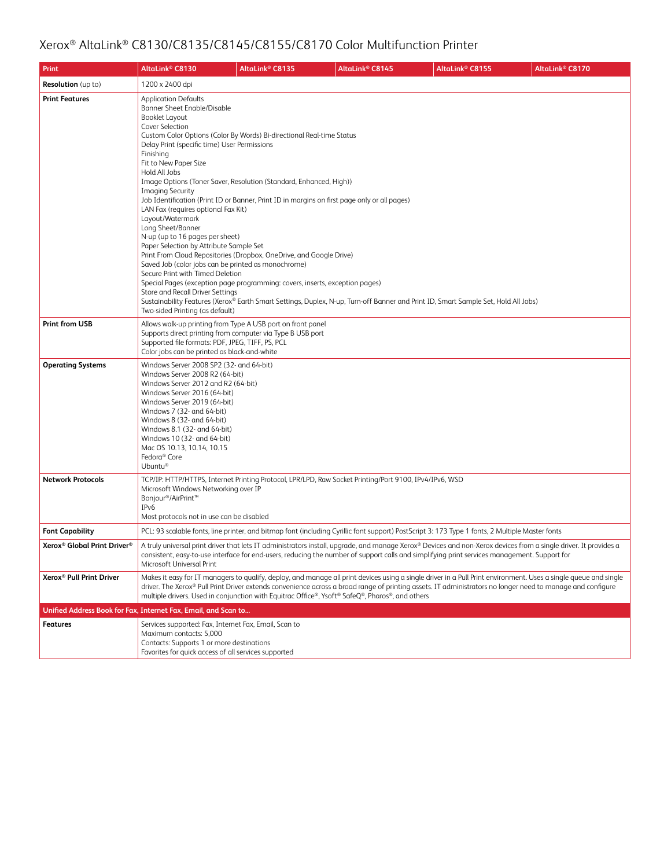| Print                                               | AltaLink <sup>®</sup> C8130                                                                                                                                                                                                                                                                                                                                                                                                                                                                                                                                                                                                                                                                                                                                                                                                                                                                                                                                                                  | AltaLink <sup>®</sup> C8135 | AltaLink <sup>®</sup> C8145                                                                            | AltaLink <sup>®</sup> C8155                                                                                                                                                                                                                                                                                                    | AltaLink® C8170 |
|-----------------------------------------------------|----------------------------------------------------------------------------------------------------------------------------------------------------------------------------------------------------------------------------------------------------------------------------------------------------------------------------------------------------------------------------------------------------------------------------------------------------------------------------------------------------------------------------------------------------------------------------------------------------------------------------------------------------------------------------------------------------------------------------------------------------------------------------------------------------------------------------------------------------------------------------------------------------------------------------------------------------------------------------------------------|-----------------------------|--------------------------------------------------------------------------------------------------------|--------------------------------------------------------------------------------------------------------------------------------------------------------------------------------------------------------------------------------------------------------------------------------------------------------------------------------|-----------------|
| <b>Resolution</b> (up to)                           | 1200 x 2400 dpi                                                                                                                                                                                                                                                                                                                                                                                                                                                                                                                                                                                                                                                                                                                                                                                                                                                                                                                                                                              |                             |                                                                                                        |                                                                                                                                                                                                                                                                                                                                |                 |
| <b>Print Features</b>                               | <b>Application Defaults</b><br><b>Banner Sheet Enable/Disable</b><br><b>Booklet Layout</b><br><b>Cover Selection</b><br>Custom Color Options (Color By Words) Bi-directional Real-time Status<br>Delay Print (specific time) User Permissions<br>Finishing<br>Fit to New Paper Size<br>Hold All Jobs<br>Image Options (Toner Saver, Resolution (Standard, Enhanced, High))<br><b>Imaging Security</b><br>Job Identification (Print ID or Banner, Print ID in margins on first page only or all pages)<br>LAN Fax (requires optional Fax Kit)<br>Layout/Watermark<br>Long Sheet/Banner<br>N-up (up to 16 pages per sheet)<br>Paper Selection by Attribute Sample Set<br>Print From Cloud Repositories (Dropbox, OneDrive, and Google Drive)<br>Saved Job (color jobs can be printed as monochrome)<br>Secure Print with Timed Deletion<br>Special Pages (exception page programming: covers, inserts, exception pages)<br>Store and Recall Driver Settings<br>Two-sided Printing (as default) |                             |                                                                                                        | Sustainability Features (Xerox® Earth Smart Settings, Duplex, N-up, Turn-off Banner and Print ID, Smart Sample Set, Hold All Jobs)                                                                                                                                                                                             |                 |
| <b>Print from USB</b>                               | Allows walk-up printing from Type A USB port on front panel<br>Supports direct printing from computer via Type B USB port<br>Supported file formats: PDF, JPEG, TIFF, PS, PCL<br>Color jobs can be printed as black-and-white                                                                                                                                                                                                                                                                                                                                                                                                                                                                                                                                                                                                                                                                                                                                                                |                             |                                                                                                        |                                                                                                                                                                                                                                                                                                                                |                 |
| <b>Operating Systems</b>                            | Windows Server 2008 SP2 (32- and 64-bit)<br>Windows Server 2008 R2 (64-bit)<br>Windows Server 2012 and R2 (64-bit)<br>Windows Server 2016 (64-bit)<br>Windows Server 2019 (64-bit)<br>Windows 7 (32- and 64-bit)<br>Windows 8 (32- and 64-bit)<br>Windows 8.1 (32- and 64-bit)<br>Windows 10 (32- and 64-bit)<br>Mac OS 10.13, 10.14, 10.15<br>Fedora <sup>®</sup> Core<br>Ubuntu®                                                                                                                                                                                                                                                                                                                                                                                                                                                                                                                                                                                                           |                             |                                                                                                        |                                                                                                                                                                                                                                                                                                                                |                 |
| <b>Network Protocols</b>                            | Microsoft Windows Networking over IP<br>Bonjour <sup>®</sup> /AirPrint <sup>™</sup><br>IPv6<br>Most protocols not in use can be disabled                                                                                                                                                                                                                                                                                                                                                                                                                                                                                                                                                                                                                                                                                                                                                                                                                                                     |                             | TCP/IP: HTTP/HTTPS, Internet Printing Protocol, LPR/LPD, Raw Socket Printing/Port 9100, IPv4/IPv6, WSD |                                                                                                                                                                                                                                                                                                                                |                 |
| <b>Font Capability</b>                              |                                                                                                                                                                                                                                                                                                                                                                                                                                                                                                                                                                                                                                                                                                                                                                                                                                                                                                                                                                                              |                             |                                                                                                        | PCL: 93 scalable fonts, line printer, and bitmap font (including Cyrillic font support) PostScript 3: 173 Type 1 fonts, 2 Multiple Master fonts                                                                                                                                                                                |                 |
| Xerox <sup>®</sup> Global Print Driver <sup>®</sup> | Microsoft Universal Print                                                                                                                                                                                                                                                                                                                                                                                                                                                                                                                                                                                                                                                                                                                                                                                                                                                                                                                                                                    |                             |                                                                                                        | A truly universal print driver that lets IT administrators install, upgrade, and manage Xerox® Devices and non-Xerox devices from a single driver. It provides a<br>consistent, easy-to-use interface for end-users, reducing the number of support calls and simplifying print services management. Support for               |                 |
| Xerox <sup>®</sup> Pull Print Driver                |                                                                                                                                                                                                                                                                                                                                                                                                                                                                                                                                                                                                                                                                                                                                                                                                                                                                                                                                                                                              |                             | multiple drivers. Used in conjunction with Equitrac Office®, Ysoft® SafeQ®, Pharos®, and others        | Makes it easy for IT managers to qualify, deploy, and manage all print devices using a single driver in a Pull Print environment. Uses a single queue and single<br>driver. The Xerox® Pull Print Driver extends convenience across a broad range of printing assets. IT administrators no longer need to manage and configure |                 |
|                                                     | Unified Address Book for Fax, Internet Fax, Email, and Scan to                                                                                                                                                                                                                                                                                                                                                                                                                                                                                                                                                                                                                                                                                                                                                                                                                                                                                                                               |                             |                                                                                                        |                                                                                                                                                                                                                                                                                                                                |                 |
| <b>Features</b>                                     | Services supported: Fax, Internet Fax, Email, Scan to<br>Maximum contacts: 5,000<br>Contacts: Supports 1 or more destinations<br>Favorites for quick access of all services supported                                                                                                                                                                                                                                                                                                                                                                                                                                                                                                                                                                                                                                                                                                                                                                                                        |                             |                                                                                                        |                                                                                                                                                                                                                                                                                                                                |                 |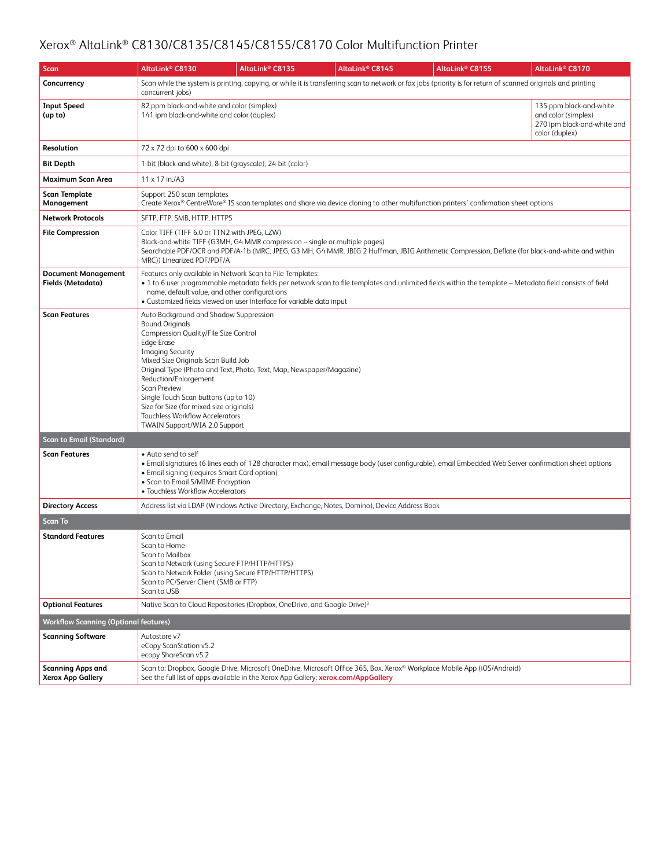| Scan                                                 | AltaLink® C8130                                                                                                                                                                                                                                                                                                                                                                                                 | AltaLink <sup>®</sup> C8135                                                                                                                                                                                                                                                                                                                      | AltaLink <sup>®</sup> C8145                                                                    | AltaLink® C8155                                                                                                                                               | AltaLink <sup>®</sup> C8170                                                                     |  |  |  |
|------------------------------------------------------|-----------------------------------------------------------------------------------------------------------------------------------------------------------------------------------------------------------------------------------------------------------------------------------------------------------------------------------------------------------------------------------------------------------------|--------------------------------------------------------------------------------------------------------------------------------------------------------------------------------------------------------------------------------------------------------------------------------------------------------------------------------------------------|------------------------------------------------------------------------------------------------|---------------------------------------------------------------------------------------------------------------------------------------------------------------|-------------------------------------------------------------------------------------------------|--|--|--|
| Concurrency                                          | concurrent jobs)                                                                                                                                                                                                                                                                                                                                                                                                |                                                                                                                                                                                                                                                                                                                                                  |                                                                                                | Scan while the system is printing, copying, or while it is transferring scan to network or fax jobs (priority is for return of scanned originals and printing |                                                                                                 |  |  |  |
| <b>Input Speed</b><br>(up to)                        | 82 ppm black-and-white and color (simplex)<br>141 ipm black-and-white and color (duplex)                                                                                                                                                                                                                                                                                                                        |                                                                                                                                                                                                                                                                                                                                                  |                                                                                                |                                                                                                                                                               | 135 ppm black-and-white<br>and color (simplex)<br>270 ipm black-and-white and<br>color (duplex) |  |  |  |
| Resolution                                           | 72 x 72 dpi to 600 x 600 dpi                                                                                                                                                                                                                                                                                                                                                                                    |                                                                                                                                                                                                                                                                                                                                                  |                                                                                                |                                                                                                                                                               |                                                                                                 |  |  |  |
| Bit Depth                                            |                                                                                                                                                                                                                                                                                                                                                                                                                 | 1-bit (black-and-white), 8-bit (grayscale), 24-bit (color)                                                                                                                                                                                                                                                                                       |                                                                                                |                                                                                                                                                               |                                                                                                 |  |  |  |
| Maximum Scan Area                                    | $11 \times 17$ in./A3                                                                                                                                                                                                                                                                                                                                                                                           |                                                                                                                                                                                                                                                                                                                                                  |                                                                                                |                                                                                                                                                               |                                                                                                 |  |  |  |
| <b>Scan Template</b><br>Management                   | Support 250 scan templates                                                                                                                                                                                                                                                                                                                                                                                      |                                                                                                                                                                                                                                                                                                                                                  |                                                                                                | Create Xerox® CentreWare® IS scan templates and share via device cloning to other multifunction printers' confirmation sheet options                          |                                                                                                 |  |  |  |
| <b>Network Protocols</b>                             | SFTP, FTP, SMB, HTTP, HTTPS                                                                                                                                                                                                                                                                                                                                                                                     |                                                                                                                                                                                                                                                                                                                                                  |                                                                                                |                                                                                                                                                               |                                                                                                 |  |  |  |
| <b>File Compression</b>                              | Color TIFF (TIFF 6.0 or TTN2 with JPEG, LZW)<br>Black-and-white TIFF (G3MH, G4 MMR compression - single or multiple pages)<br>Searchable PDF/OCR and PDF/A-1b (MRC, JPEG, G3 MH, G4 MMR, JBIG 2 Huffman, JBIG Arithmetic Compression, Deflate (for black-and-white and within<br>MRC)) Linearized PDF/PDF/A                                                                                                     |                                                                                                                                                                                                                                                                                                                                                  |                                                                                                |                                                                                                                                                               |                                                                                                 |  |  |  |
| <b>Document Management</b><br>Fields (Metadata)      |                                                                                                                                                                                                                                                                                                                                                                                                                 | Features only available in Network Scan to File Templates:<br>. 1 to 6 user programmable metadata fields per network scan to file templates and unlimited fields within the template - Metadata field consists of field<br>name, default value, and other configurations<br>• Customized fields viewed on user interface for variable data input |                                                                                                |                                                                                                                                                               |                                                                                                 |  |  |  |
| <b>Scan Features</b>                                 | Auto Background and Shadow Suppression<br><b>Bound Originals</b><br>Compression Quality/File Size Control<br><b>Edge Erase</b><br><b>Imaging Security</b><br>Mixed Size Originals Scan Build Job<br>Reduction/Enlargement<br><b>Scan Preview</b><br>Single Touch Scan buttons (up to 10)<br>Size for Size (for mixed size originals)<br><b>Touchless Workflow Accelerators</b><br>TWAIN Support/WIA 2.0 Support | Original Type (Photo and Text, Photo, Text, Map, Newspaper/Magazine)                                                                                                                                                                                                                                                                             |                                                                                                |                                                                                                                                                               |                                                                                                 |  |  |  |
| <b>Scan to Email (Standard)</b>                      |                                                                                                                                                                                                                                                                                                                                                                                                                 |                                                                                                                                                                                                                                                                                                                                                  |                                                                                                |                                                                                                                                                               |                                                                                                 |  |  |  |
| <b>Scan Features</b>                                 | • Auto send to self<br>• Email signing (requires Smart Card option)<br>• Scan to Email S/MIME Encryption<br>· Touchless Workflow Accelerators                                                                                                                                                                                                                                                                   |                                                                                                                                                                                                                                                                                                                                                  |                                                                                                | • Email signatures (6 lines each of 128 character max), email message body (user configurable), email Embedded Web Server confirmation sheet options          |                                                                                                 |  |  |  |
| <b>Directory Access</b>                              |                                                                                                                                                                                                                                                                                                                                                                                                                 |                                                                                                                                                                                                                                                                                                                                                  | Address list via LDAP (Windows Active Directory, Exchange, Notes, Domino), Device Address Book |                                                                                                                                                               |                                                                                                 |  |  |  |
| <b>Scan To</b>                                       |                                                                                                                                                                                                                                                                                                                                                                                                                 |                                                                                                                                                                                                                                                                                                                                                  |                                                                                                |                                                                                                                                                               |                                                                                                 |  |  |  |
| <b>Standard Features</b>                             | Scan to Email<br>Scan to Home<br>Scan to Mailbox<br>Scan to Network (using Secure FTP/HTTP/HTTPS)<br>Scan to PC/Server Client (SMB or FTP)<br>Scan to USB                                                                                                                                                                                                                                                       | Scan to Network Folder (using Secure FTP/HTTP/HTTPS)                                                                                                                                                                                                                                                                                             |                                                                                                |                                                                                                                                                               |                                                                                                 |  |  |  |
| <b>Optional Features</b>                             |                                                                                                                                                                                                                                                                                                                                                                                                                 | Native Scan to Cloud Repositories (Dropbox, OneDrive, and Google Drive) <sup>3</sup>                                                                                                                                                                                                                                                             |                                                                                                |                                                                                                                                                               |                                                                                                 |  |  |  |
| <b>Workflow Scanning (Optional features)</b>         |                                                                                                                                                                                                                                                                                                                                                                                                                 |                                                                                                                                                                                                                                                                                                                                                  |                                                                                                |                                                                                                                                                               |                                                                                                 |  |  |  |
| <b>Scanning Software</b>                             | Autostore v7<br>eCopy ScanStation v5.2<br>ecopy ShareScan v5.2                                                                                                                                                                                                                                                                                                                                                  |                                                                                                                                                                                                                                                                                                                                                  |                                                                                                |                                                                                                                                                               |                                                                                                 |  |  |  |
| <b>Scanning Apps and</b><br><b>Xerox App Gallery</b> |                                                                                                                                                                                                                                                                                                                                                                                                                 | See the full list of apps available in the Xerox App Gallery: xerox.com/AppGallery                                                                                                                                                                                                                                                               |                                                                                                | Scan to: Dropbox, Google Drive, Microsoft OneDrive, Microsoft Office 365, Box, Xerox® Workplace Mobile App (iOS/Android)                                      |                                                                                                 |  |  |  |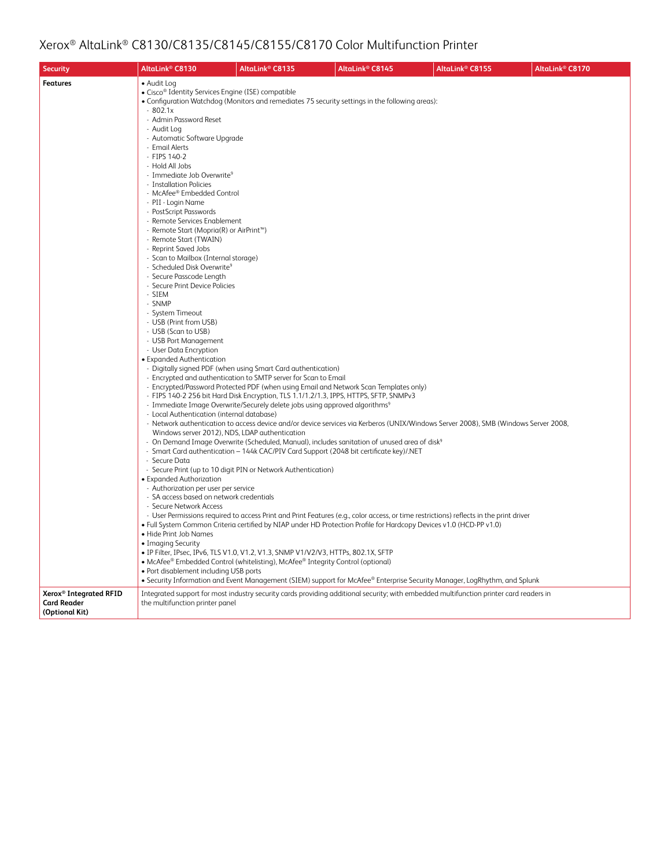| <b>Security</b>                      | AltaLink <sup>®</sup> C8130                                                                                                                                                                                                                                                                                                                                                                                                                                                                                                                                                                                                                                                                                                                                                                                                                                                                                                                                                                                                                                                                                                        | AltaLink <sup>®</sup> C8135                                                                                                                                                                                                                                                                                                                                                                                                                                                                                                                                                                                                                                                                                                                        | AltaLink <sup>®</sup> C8145                                                                                                                                                                                                                                                                                                                                                                                                                                                                                                                                                                                         | AltaLink® C8155 | AltaLink <sup>®</sup> C8170 |
|--------------------------------------|------------------------------------------------------------------------------------------------------------------------------------------------------------------------------------------------------------------------------------------------------------------------------------------------------------------------------------------------------------------------------------------------------------------------------------------------------------------------------------------------------------------------------------------------------------------------------------------------------------------------------------------------------------------------------------------------------------------------------------------------------------------------------------------------------------------------------------------------------------------------------------------------------------------------------------------------------------------------------------------------------------------------------------------------------------------------------------------------------------------------------------|----------------------------------------------------------------------------------------------------------------------------------------------------------------------------------------------------------------------------------------------------------------------------------------------------------------------------------------------------------------------------------------------------------------------------------------------------------------------------------------------------------------------------------------------------------------------------------------------------------------------------------------------------------------------------------------------------------------------------------------------------|---------------------------------------------------------------------------------------------------------------------------------------------------------------------------------------------------------------------------------------------------------------------------------------------------------------------------------------------------------------------------------------------------------------------------------------------------------------------------------------------------------------------------------------------------------------------------------------------------------------------|-----------------|-----------------------------|
| <b>Features</b>                      | • Audit Log<br>• Cisco® Identity Services Engine (ISE) compatible<br>$-802.1x$<br>- Admin Password Reset<br>- Audit Log<br>- Automatic Software Upgrade<br>- Email Alerts<br>- FIPS 140-2<br>- Hold All Jobs<br>- Immediate Job Overwrite <sup>9</sup><br>- Installation Policies<br>- McAfee® Embedded Control<br>- PII - Login Name<br>- PostScript Passwords<br>- Remote Services Enablement<br>- Remote Start (Mopria(R) or AirPrint™)<br>- Remote Start (TWAIN)<br>- Reprint Saved Jobs<br>- Scan to Mailbox (Internal storage)<br>- Scheduled Disk Overwrite <sup>9</sup><br>- Secure Passcode Length<br>- Secure Print Device Policies<br>- SIEM<br>- SNMP<br>- System Timeout<br>- USB (Print from USB)<br>- USB (Scan to USB)<br>- USB Port Management<br>- User Data Encryption<br>• Expanded Authentication<br>- Local Authentication (internal database)<br>Windows server 2012), NDS, LDAP authentication<br>- Secure Data<br>• Expanded Authorization<br>- Authorization per user per service<br>- SA access based on network credentials<br>- Secure Network Access<br>• Hide Print Job Names<br>• Imaging Security | - Digitally signed PDF (when using Smart Card authentication)<br>- Encrypted and authentication to SMTP server for Scan to Email<br>- Encrypted/Password Protected PDF (when using Email and Network Scan Templates only)<br>- FIPS 140-2 256 bit Hard Disk Encryption, TLS 1.1/1.2/1.3, IPPS, HTTPS, SFTP, SNMPv3<br>- Immediate Image Overwrite/Securely delete jobs using approved algorithms <sup>9</sup><br>- Smart Card authentication - 144k CAC/PIV Card Support (2048 bit certificate key)/.NET<br>- Secure Print (up to 10 digit PIN or Network Authentication)<br>· IP Filter, IPsec, IPv6, TLS V1.0, V1.2, V1.3, SNMP V1/V2/V3, HTTPs, 802.1X, SFTP<br>• McAfee® Embedded Control (whitelisting), McAfee® Integrity Control (optional) | • Configuration Watchdog (Monitors and remediates 75 security settings in the following areas):<br>- Network authentication to access device and/or device services via Kerberos (UNIX/Windows Server 2008), SMB (Windows Server 2008,<br>- On Demand Image Overwrite (Scheduled, Manual), includes sanitation of unused area of disk <sup>9</sup><br>- User Permissions required to access Print and Print Features (e.g., color access, or time restrictions) reflects in the print driver<br>• Full System Common Criteria certified by NIAP under HD Protection Profile for Hardcopy Devices v1.0 (HCD-PP v1.0) |                 |                             |
| Xerox <sup>®</sup> Integrated RFID   | • Port disablement including USB ports                                                                                                                                                                                                                                                                                                                                                                                                                                                                                                                                                                                                                                                                                                                                                                                                                                                                                                                                                                                                                                                                                             |                                                                                                                                                                                                                                                                                                                                                                                                                                                                                                                                                                                                                                                                                                                                                    | • Security Information and Event Management (SIEM) support for McAfee® Enterprise Security Manager, LogRhythm, and Splunk<br>Integrated support for most industry security cards providing additional security; with embedded multifunction printer card readers in                                                                                                                                                                                                                                                                                                                                                 |                 |                             |
| <b>Card Reader</b><br>(Optional Kit) | the multifunction printer panel                                                                                                                                                                                                                                                                                                                                                                                                                                                                                                                                                                                                                                                                                                                                                                                                                                                                                                                                                                                                                                                                                                    |                                                                                                                                                                                                                                                                                                                                                                                                                                                                                                                                                                                                                                                                                                                                                    |                                                                                                                                                                                                                                                                                                                                                                                                                                                                                                                                                                                                                     |                 |                             |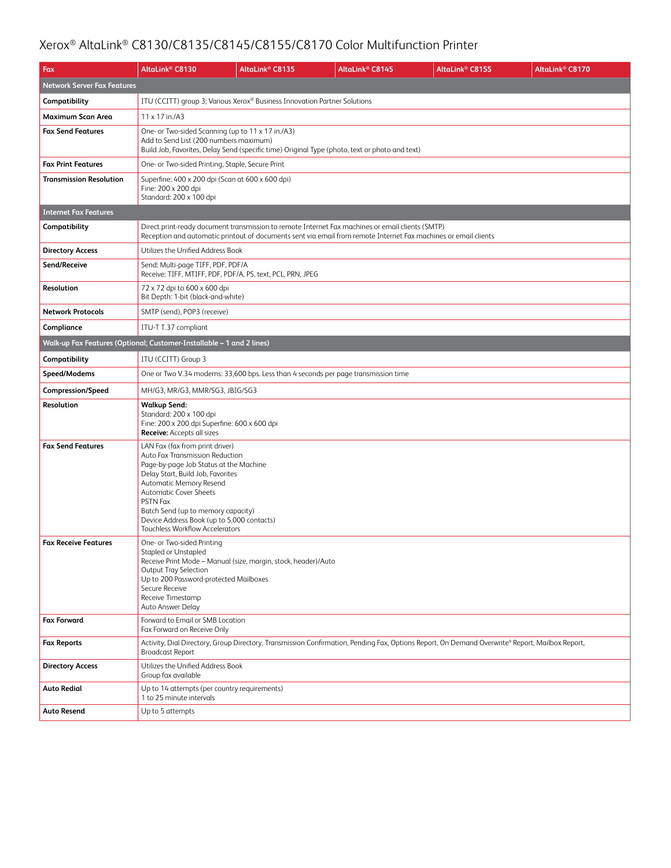| Fax                                | AltaLink® C8130                                                                                                                                                                                                                                                                                                                                                | AltaLink® C8135                                                                                                                                                                                                     | AltaLink <sup>®</sup> C8145 | AltaLink® C8155                                                                                                                                             | AltaLink® C8170 |  |  |
|------------------------------------|----------------------------------------------------------------------------------------------------------------------------------------------------------------------------------------------------------------------------------------------------------------------------------------------------------------------------------------------------------------|---------------------------------------------------------------------------------------------------------------------------------------------------------------------------------------------------------------------|-----------------------------|-------------------------------------------------------------------------------------------------------------------------------------------------------------|-----------------|--|--|
| <b>Network Server Fax Features</b> |                                                                                                                                                                                                                                                                                                                                                                |                                                                                                                                                                                                                     |                             |                                                                                                                                                             |                 |  |  |
| Compatibility                      | ITU (CCITT) group 3; Various Xerox® Business Innovation Partner Solutions                                                                                                                                                                                                                                                                                      |                                                                                                                                                                                                                     |                             |                                                                                                                                                             |                 |  |  |
| Maximum Scan Area                  | 11 x 17 in./A3                                                                                                                                                                                                                                                                                                                                                 |                                                                                                                                                                                                                     |                             |                                                                                                                                                             |                 |  |  |
| <b>Fax Send Features</b>           | One- or Two-sided Scanning (up to 11 x 17 in./A3)<br>Add to Send List (200 numbers maximum)                                                                                                                                                                                                                                                                    | Build Job, Favorites, Delay Send (specific time) Original Type (photo, text or photo and text)                                                                                                                      |                             |                                                                                                                                                             |                 |  |  |
| <b>Fax Print Features</b>          | One- or Two-sided Printing, Staple, Secure Print                                                                                                                                                                                                                                                                                                               |                                                                                                                                                                                                                     |                             |                                                                                                                                                             |                 |  |  |
| <b>Transmission Resolution</b>     | Superfine: 400 x 200 dpi (Scan at 600 x 600 dpi)<br>Fine: 200 x 200 dpi<br>Standard: 200 x 100 dpi                                                                                                                                                                                                                                                             |                                                                                                                                                                                                                     |                             |                                                                                                                                                             |                 |  |  |
| <b>Internet Fax Features</b>       |                                                                                                                                                                                                                                                                                                                                                                |                                                                                                                                                                                                                     |                             |                                                                                                                                                             |                 |  |  |
| Compatibility                      |                                                                                                                                                                                                                                                                                                                                                                | Direct print-ready document transmission to remote Internet Fax machines or email clients (SMTP)<br>Reception and automatic printout of documents sent via email from remote Internet Fax machines or email clients |                             |                                                                                                                                                             |                 |  |  |
| <b>Directory Access</b>            | Utilizes the Unified Address Book                                                                                                                                                                                                                                                                                                                              |                                                                                                                                                                                                                     |                             |                                                                                                                                                             |                 |  |  |
| Send/Receive                       | Send: Multi-page TIFF, PDF, PDF/A<br>Receive: TIFF, MTIFF, PDF, PDF/A, PS, text, PCL, PRN, JPEG                                                                                                                                                                                                                                                                |                                                                                                                                                                                                                     |                             |                                                                                                                                                             |                 |  |  |
| Resolution                         | 72 x 72 dpi to 600 x 600 dpi<br>Bit Depth: 1-bit (black-and-white)                                                                                                                                                                                                                                                                                             |                                                                                                                                                                                                                     |                             |                                                                                                                                                             |                 |  |  |
| <b>Network Protocols</b>           | SMTP (send), POP3 (receive)                                                                                                                                                                                                                                                                                                                                    |                                                                                                                                                                                                                     |                             |                                                                                                                                                             |                 |  |  |
| Compliance                         | ITU-T T.37 compliant                                                                                                                                                                                                                                                                                                                                           |                                                                                                                                                                                                                     |                             |                                                                                                                                                             |                 |  |  |
|                                    | Walk-up Fax Features (Optional; Customer-Installable - 1 and 2 lines)                                                                                                                                                                                                                                                                                          |                                                                                                                                                                                                                     |                             |                                                                                                                                                             |                 |  |  |
| Compatibility                      | ITU (CCITT) Group 3                                                                                                                                                                                                                                                                                                                                            |                                                                                                                                                                                                                     |                             |                                                                                                                                                             |                 |  |  |
| Speed/Modems                       |                                                                                                                                                                                                                                                                                                                                                                | One or Two V.34 modems: 33,600 bps. Less than 4 seconds per page transmission time                                                                                                                                  |                             |                                                                                                                                                             |                 |  |  |
| Compression/Speed                  | MH/G3, MR/G3, MMR/SG3, JBIG/SG3                                                                                                                                                                                                                                                                                                                                |                                                                                                                                                                                                                     |                             |                                                                                                                                                             |                 |  |  |
| Resolution                         | <b>Walkup Send:</b><br>Standard: 200 x 100 dpi<br>Fine: 200 x 200 dpi Superfine: 600 x 600 dpi<br><b>Receive:</b> Accepts all sizes                                                                                                                                                                                                                            |                                                                                                                                                                                                                     |                             |                                                                                                                                                             |                 |  |  |
| <b>Fax Send Features</b>           | LAN Fax (fax from print driver)<br>Auto Fax Transmission Reduction<br>Page-by-page Job Status at the Machine<br>Delay Start, Build Job, Favorites<br>Automatic Memory Resend<br><b>Automatic Cover Sheets</b><br><b>PSTN Fax</b><br>Batch Send (up to memory capacity)<br>Device Address Book (up to 5,000 contacts)<br><b>Touchless Workflow Accelerators</b> |                                                                                                                                                                                                                     |                             |                                                                                                                                                             |                 |  |  |
| <b>Fax Receive Features</b>        | One- or Two-sided Printing<br>Stapled or Unstapled<br>Receive Print Mode - Manual (size, margin, stock, header)/Auto<br>Output Tray Selection<br>Up to 200 Password-protected Mailboxes<br>Secure Receive<br>Receive Timestamp<br>Auto Answer Delay                                                                                                            |                                                                                                                                                                                                                     |                             |                                                                                                                                                             |                 |  |  |
| <b>Fax Forward</b>                 | Forward to Email or SMB Location<br>Fax Forward on Receive Only                                                                                                                                                                                                                                                                                                |                                                                                                                                                                                                                     |                             |                                                                                                                                                             |                 |  |  |
| <b>Fax Reports</b>                 | <b>Broadcast Report</b>                                                                                                                                                                                                                                                                                                                                        |                                                                                                                                                                                                                     |                             | Activity, Dial Directory, Group Directory, Transmission Confirmation, Pending Fax, Options Report, On Demand Overwrite <sup>9</sup> Report, Mailbox Report, |                 |  |  |
| <b>Directory Access</b>            | Utilizes the Unified Address Book<br>Group fax available                                                                                                                                                                                                                                                                                                       |                                                                                                                                                                                                                     |                             |                                                                                                                                                             |                 |  |  |
| <b>Auto Redial</b>                 | Up to 14 attempts (per country requirements)<br>1 to 25 minute intervals                                                                                                                                                                                                                                                                                       |                                                                                                                                                                                                                     |                             |                                                                                                                                                             |                 |  |  |
| <b>Auto Resend</b>                 | Up to 5 attempts                                                                                                                                                                                                                                                                                                                                               |                                                                                                                                                                                                                     |                             |                                                                                                                                                             |                 |  |  |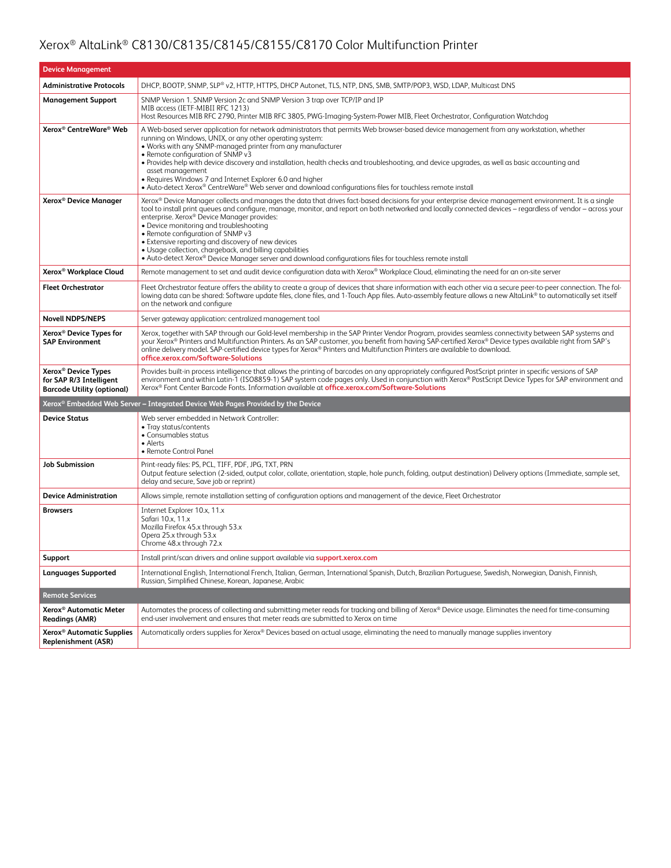| <b>Device Management</b>                                                                        |                                                                                                                                                                                                                                                                                                                                                                                                                                                                                                                                                                                                                                                                                      |  |
|-------------------------------------------------------------------------------------------------|--------------------------------------------------------------------------------------------------------------------------------------------------------------------------------------------------------------------------------------------------------------------------------------------------------------------------------------------------------------------------------------------------------------------------------------------------------------------------------------------------------------------------------------------------------------------------------------------------------------------------------------------------------------------------------------|--|
| <b>Administrative Protocols</b>                                                                 | DHCP, BOOTP, SNMP, SLP® v2, HTTP, HTTPS, DHCP Autonet, TLS, NTP, DNS, SMB, SMTP/POP3, WSD, LDAP, Multicast DNS                                                                                                                                                                                                                                                                                                                                                                                                                                                                                                                                                                       |  |
| <b>Management Support</b>                                                                       | SNMP Version 1. SNMP Version 2c and SNMP Version 3 trap over TCP/IP and IP<br>MIB access (IETF-MIBII RFC 1213)<br>Host Resources MIB RFC 2790, Printer MIB RFC 3805, PWG-Imaging-System-Power MIB, Fleet Orchestrator, Configuration Watchdog                                                                                                                                                                                                                                                                                                                                                                                                                                        |  |
| Xerox® CentreWare® Web                                                                          | A Web-based server application for network administrators that permits Web browser-based device management from any workstation, whether<br>running on Windows, UNIX, or any other operating system:<br>. Works with any SNMP-managed printer from any manufacturer<br>• Remote configuration of SNMP v3<br>• Provides help with device discovery and installation, health checks and troubleshooting, and device upgrades, as well as basic accounting and<br>asset management<br>• Requires Windows 7 and Internet Explorer 6.0 and higher<br>• Auto-detect Xerox® CentreWare® Web server and download configurations files for touchless remote install                           |  |
| Xerox <sup>®</sup> Device Manager                                                               | Xerox® Device Manager collects and manages the data that drives fact-based decisions for your enterprise device management environment. It is a single<br>tool to install print queues and configure, manage, monitor, and report on both networked and locally connected devices – regardless of vendor – across your<br>enterprise. Xerox® Device Manager provides:<br>· Device monitoring and troubleshooting<br>• Remote configuration of SNMP v3<br>• Extensive reporting and discovery of new devices<br>• Usage collection, chargeback, and billing capabilities<br>• Auto-detect Xerox® Device Manager server and download configurations files for touchless remote install |  |
| Xerox <sup>®</sup> Workplace Cloud                                                              | Remote management to set and audit device configuration data with Xerox® Workplace Cloud, eliminating the need for an on-site server                                                                                                                                                                                                                                                                                                                                                                                                                                                                                                                                                 |  |
| <b>Fleet Orchestrator</b>                                                                       | Fleet Orchestrator feature offers the ability to create a group of devices that share information with each other via a secure peer-to-peer connection. The fol-<br>lowing data can be shared: Software update files, clone files, and 1-Touch App files. Auto-assembly feature allows a new AltaLink® to automatically set itself<br>on the network and configure                                                                                                                                                                                                                                                                                                                   |  |
| <b>Novell NDPS/NEPS</b>                                                                         | Server gateway application: centralized management tool                                                                                                                                                                                                                                                                                                                                                                                                                                                                                                                                                                                                                              |  |
| Xerox <sup>®</sup> Device Types for<br><b>SAP Environment</b>                                   | Xerox, together with SAP through our Gold-level membership in the SAP Printer Vendor Program, provides seamless connectivity between SAP systems and<br>your Xerox® Printers and Multifunction Printers. As an SAP customer, you benefit from having SAP-certified Xerox® Device types available right from SAP's<br>online delivery model. SAP-certified device types for Xerox® Printers and Multifunction Printers are available to download.<br>office.xerox.com/Software-Solutions                                                                                                                                                                                              |  |
| Xerox <sup>®</sup> Device Types<br>for SAP R/3 Intelligent<br><b>Barcode Utility (optional)</b> | Provides built-in process intelligence that allows the printing of barcodes on any appropriately configured PostScript printer in specific versions of SAP<br>environment and within Latin-1 (ISO8859-1) SAP system code pages only. Used in conjunction with Xerox® PostScript Device Types for SAP environment and<br>Xerox® Font Center Barcode Fonts. Information available at office.xerox.com/Software-Solutions                                                                                                                                                                                                                                                               |  |
|                                                                                                 | Xerox® Embedded Web Server – Integrated Device Web Pages Provided by the Device                                                                                                                                                                                                                                                                                                                                                                                                                                                                                                                                                                                                      |  |
| <b>Device Status</b>                                                                            | Web server embedded in Network Controller:<br>• Tray status/contents<br>• Consumables status<br>• Alerts<br>• Remote Control Panel                                                                                                                                                                                                                                                                                                                                                                                                                                                                                                                                                   |  |
| <b>Job Submission</b>                                                                           | Print-ready files: PS, PCL, TIFF, PDF, JPG, TXT, PRN<br>Output feature selection (2-sided, output color, collate, orientation, staple, hole punch, folding, output destination) Delivery options (Immediate, sample set,<br>delay and secure, Save job or reprint)                                                                                                                                                                                                                                                                                                                                                                                                                   |  |
| <b>Device Administration</b>                                                                    | Allows simple, remote installation setting of configuration options and management of the device, Fleet Orchestrator                                                                                                                                                                                                                                                                                                                                                                                                                                                                                                                                                                 |  |
| <b>Browsers</b>                                                                                 | Internet Explorer 10.x, 11.x<br>Safari 10.x, 11.x<br>Mozilla Firefox 45.x through 53.x<br>Opera 25.x through 53.x<br>Chrome 48.x through 72.x                                                                                                                                                                                                                                                                                                                                                                                                                                                                                                                                        |  |
| Support                                                                                         | Install print/scan drivers and online support available via support.xerox.com                                                                                                                                                                                                                                                                                                                                                                                                                                                                                                                                                                                                        |  |
| Languages Supported                                                                             | International English, International French, Italian, German, International Spanish, Dutch, Brazilian Portuguese, Swedish, Norwegian, Danish, Finnish,<br>Russian, Simplified Chinese, Korean, Japanese, Arabic                                                                                                                                                                                                                                                                                                                                                                                                                                                                      |  |
| <b>Remote Services</b>                                                                          |                                                                                                                                                                                                                                                                                                                                                                                                                                                                                                                                                                                                                                                                                      |  |
| Xerox <sup>®</sup> Automatic Meter<br><b>Readings (AMR)</b>                                     | Automates the process of collecting and submitting meter reads for tracking and billing of Xerox® Device usage. Eliminates the need for time-consuming<br>end-user involvement and ensures that meter reads are submitted to Xerox on time                                                                                                                                                                                                                                                                                                                                                                                                                                           |  |
| Xerox <sup>®</sup> Automatic Supplies<br><b>Replenishment (ASR)</b>                             | Automatically orders supplies for Xerox® Devices based on actual usage, eliminating the need to manually manage supplies inventory                                                                                                                                                                                                                                                                                                                                                                                                                                                                                                                                                   |  |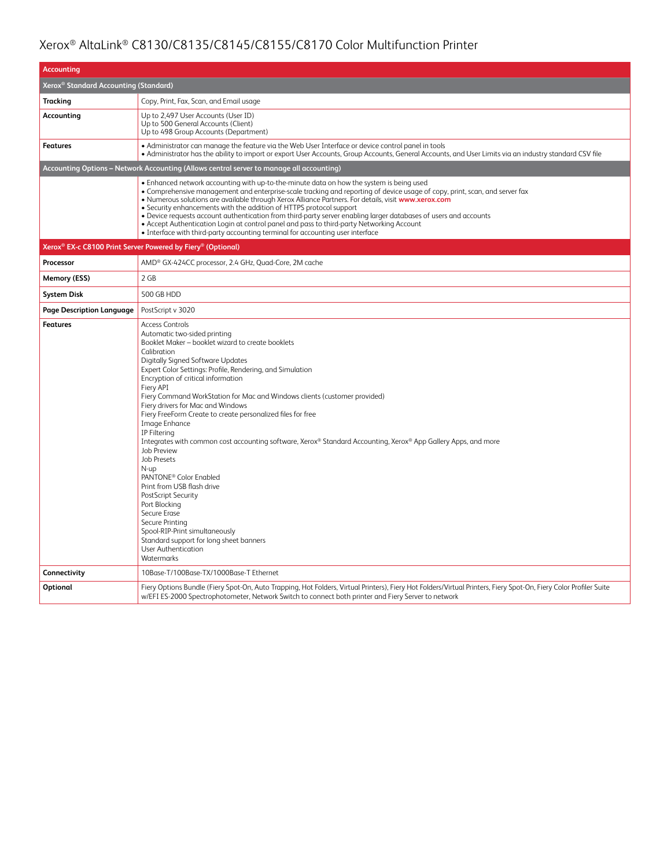| <b>Accounting</b>                                                                        |                                                                                                                                                                                                                                                                                                                                                                                                                                                                                                                                                                                                                                                                                                                                                                                                                                                                                                                                                 |  |  |
|------------------------------------------------------------------------------------------|-------------------------------------------------------------------------------------------------------------------------------------------------------------------------------------------------------------------------------------------------------------------------------------------------------------------------------------------------------------------------------------------------------------------------------------------------------------------------------------------------------------------------------------------------------------------------------------------------------------------------------------------------------------------------------------------------------------------------------------------------------------------------------------------------------------------------------------------------------------------------------------------------------------------------------------------------|--|--|
| Xerox <sup>®</sup> Standard Accounting (Standard)                                        |                                                                                                                                                                                                                                                                                                                                                                                                                                                                                                                                                                                                                                                                                                                                                                                                                                                                                                                                                 |  |  |
| <b>Tracking</b>                                                                          | Copy, Print, Fax, Scan, and Email usage                                                                                                                                                                                                                                                                                                                                                                                                                                                                                                                                                                                                                                                                                                                                                                                                                                                                                                         |  |  |
| Accounting                                                                               | Up to 2,497 User Accounts (User ID)<br>Up to 500 General Accounts (Client)<br>Up to 498 Group Accounts (Department)                                                                                                                                                                                                                                                                                                                                                                                                                                                                                                                                                                                                                                                                                                                                                                                                                             |  |  |
| <b>Features</b>                                                                          | • Administrator can manage the feature via the Web User Interface or device control panel in tools<br>• Administrator has the ability to import or export User Accounts, Group Accounts, General Accounts, and User Limits via an industry standard CSV file                                                                                                                                                                                                                                                                                                                                                                                                                                                                                                                                                                                                                                                                                    |  |  |
| Accounting Options - Network Accounting (Allows central server to manage all accounting) |                                                                                                                                                                                                                                                                                                                                                                                                                                                                                                                                                                                                                                                                                                                                                                                                                                                                                                                                                 |  |  |
|                                                                                          | . Enhanced network accounting with up-to-the-minute data on how the system is being used<br>• Comprehensive management and enterprise-scale tracking and reporting of device usage of copy, print, scan, and server fax<br>. Numerous solutions are available through Xerox Alliance Partners. For details, visit www.xerox.com<br>• Security enhancements with the addition of HTTPS protocol support<br>• Device requests account authentication from third-party server enabling larger databases of users and accounts<br>• Accept Authentication Login at control panel and pass to third-party Networking Account<br>• Interface with third-party accounting terminal for accounting user interface                                                                                                                                                                                                                                       |  |  |
|                                                                                          | Xerox <sup>®</sup> EX-c C8100 Print Server Powered by Fiery <sup>®</sup> (Optional)                                                                                                                                                                                                                                                                                                                                                                                                                                                                                                                                                                                                                                                                                                                                                                                                                                                             |  |  |
| Processor                                                                                | AMD <sup>®</sup> GX-424CC processor, 2.4 GHz, Quad-Core, 2M cache                                                                                                                                                                                                                                                                                                                                                                                                                                                                                                                                                                                                                                                                                                                                                                                                                                                                               |  |  |
| Memory (ESS)                                                                             | 2 GB                                                                                                                                                                                                                                                                                                                                                                                                                                                                                                                                                                                                                                                                                                                                                                                                                                                                                                                                            |  |  |
| <b>System Disk</b>                                                                       | 500 GB HDD                                                                                                                                                                                                                                                                                                                                                                                                                                                                                                                                                                                                                                                                                                                                                                                                                                                                                                                                      |  |  |
| Page Description Language                                                                | PostScript v 3020                                                                                                                                                                                                                                                                                                                                                                                                                                                                                                                                                                                                                                                                                                                                                                                                                                                                                                                               |  |  |
| <b>Features</b>                                                                          | <b>Access Controls</b><br>Automatic two-sided printing<br>Booklet Maker - booklet wizard to create booklets<br>Calibration<br>Digitally Signed Software Updates<br>Expert Color Settings: Profile, Rendering, and Simulation<br>Encryption of critical information<br>Fiery API<br>Fiery Command WorkStation for Mac and Windows clients (customer provided)<br>Fiery drivers for Mac and Windows<br>Fiery FreeForm Create to create personalized files for free<br>Image Enhance<br>IP Filtering<br>Integrates with common cost accounting software, Xerox® Standard Accounting, Xerox® App Gallery Apps, and more<br><b>Job Preview</b><br><b>Job Presets</b><br>N-up<br>PANTONE <sup>®</sup> Color Enabled<br>Print from USB flash drive<br>PostScript Security<br>Port Blocking<br>Secure Erase<br>Secure Printing<br>Spool-RIP-Print simultaneously<br>Standard support for long sheet banners<br><b>User Authentication</b><br>Watermarks |  |  |
| Connectivity                                                                             | 10Base-T/100Base-TX/1000Base-T Ethernet                                                                                                                                                                                                                                                                                                                                                                                                                                                                                                                                                                                                                                                                                                                                                                                                                                                                                                         |  |  |
| Optional                                                                                 | Fiery Options Bundle (Fiery Spot-On, Auto Trapping, Hot Folders, Virtual Printers), Fiery Hot Folders/Virtual Printers, Fiery Spot-On, Fiery Color Profiler Suite<br>w/EFI ES-2000 Spectrophotometer, Network Switch to connect both printer and Fiery Server to network                                                                                                                                                                                                                                                                                                                                                                                                                                                                                                                                                                                                                                                                        |  |  |